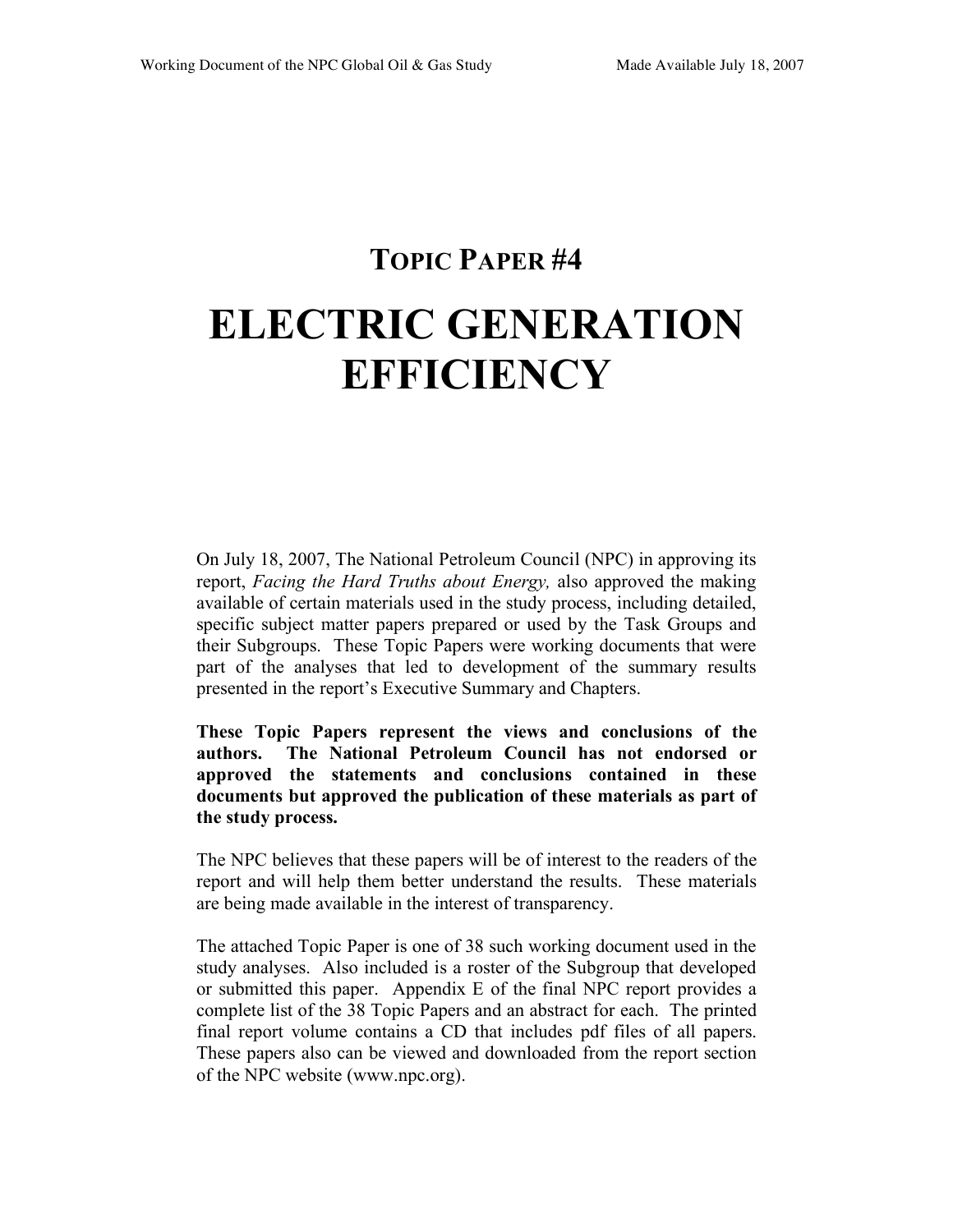# **TOPIC PAPER #4 ELECTRIC GENERATION EFFICIENCY**

On July 18, 2007, The National Petroleum Council (NPC) in approving its report, *Facing the Hard Truths about Energy,* also approved the making available of certain materials used in the study process, including detailed, specific subject matter papers prepared or used by the Task Groups and their Subgroups. These Topic Papers were working documents that were part of the analyses that led to development of the summary results presented in the report's Executive Summary and Chapters.

**These Topic Papers represent the views and conclusions of the authors. The National Petroleum Council has not endorsed or approved the statements and conclusions contained in these documents but approved the publication of these materials as part of the study process.**

The NPC believes that these papers will be of interest to the readers of the report and will help them better understand the results. These materials are being made available in the interest of transparency.

The attached Topic Paper is one of 38 such working document used in the study analyses. Also included is a roster of the Subgroup that developed or submitted this paper. Appendix E of the final NPC report provides a complete list of the 38 Topic Papers and an abstract for each. The printed final report volume contains a CD that includes pdf files of all papers. These papers also can be viewed and downloaded from the report section of the NPC website (www.npc.org).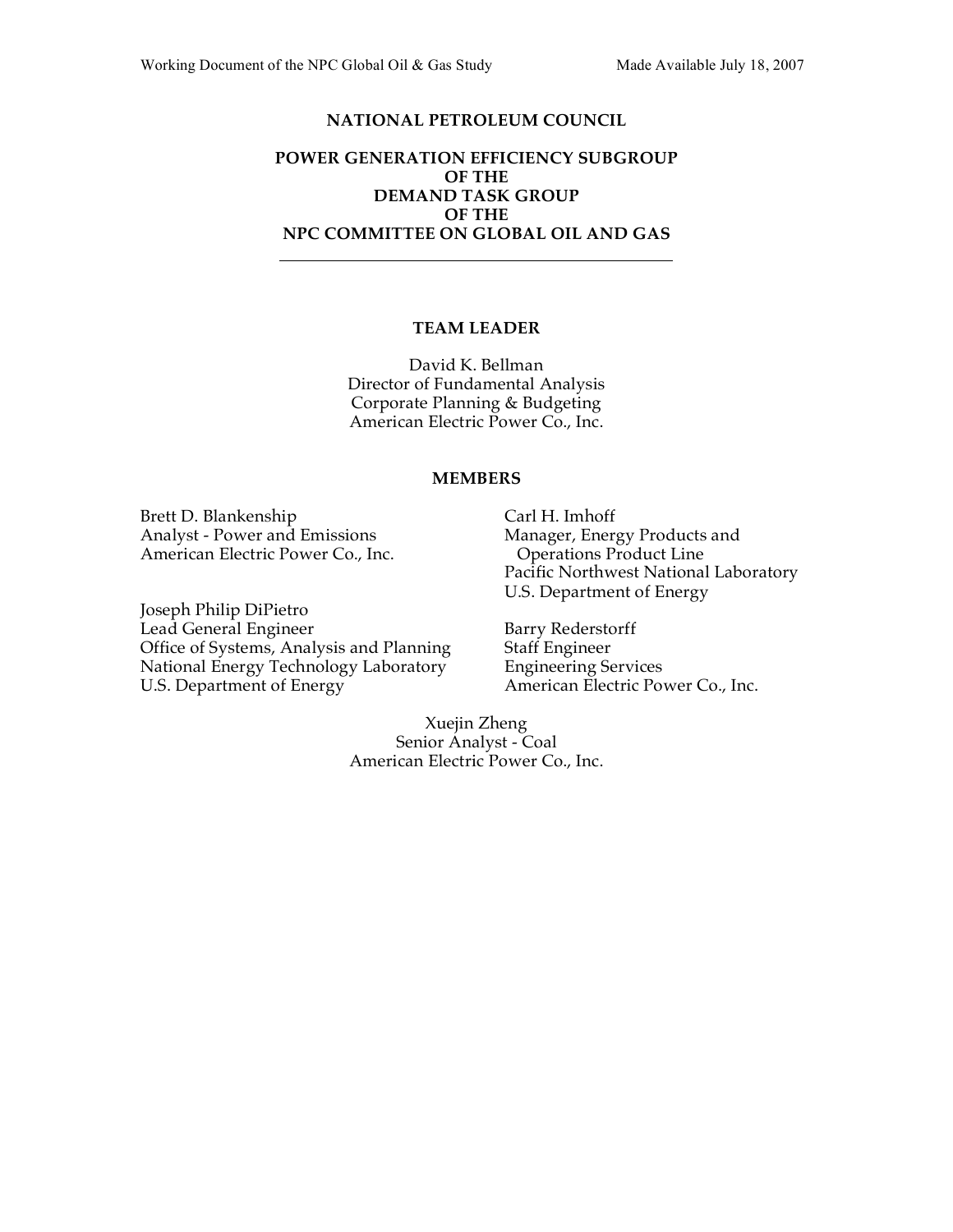#### **NATIONAL PETROLEUM COUNCIL**

#### **POWER GENERATION EFFICIENCY SUBGROUP OF THE DEMAND TASK GROUP OF THE NPC COMMITTEE ON GLOBAL OIL AND GAS**

#### **TEAM LEADER**

David K. Bellman Director of Fundamental Analysis Corporate Planning & Budgeting American Electric Power Co., Inc.

#### **MEMBERS**

Brett D. Blankenship Analyst - Power and Emissions American Electric Power Co., Inc.

Joseph Philip DiPietro Lead General Engineer Office of Systems, Analysis and Planning National Energy Technology Laboratory U.S. Department of Energy

Carl H. Imhoff Manager, Energy Products and Operations Product Line Pacific Northwest National Laboratory U.S. Department of Energy

Barry Rederstorff Staff Engineer Engineering Services American Electric Power Co., Inc.

Xuejin Zheng Senior Analyst - Coal American Electric Power Co., Inc.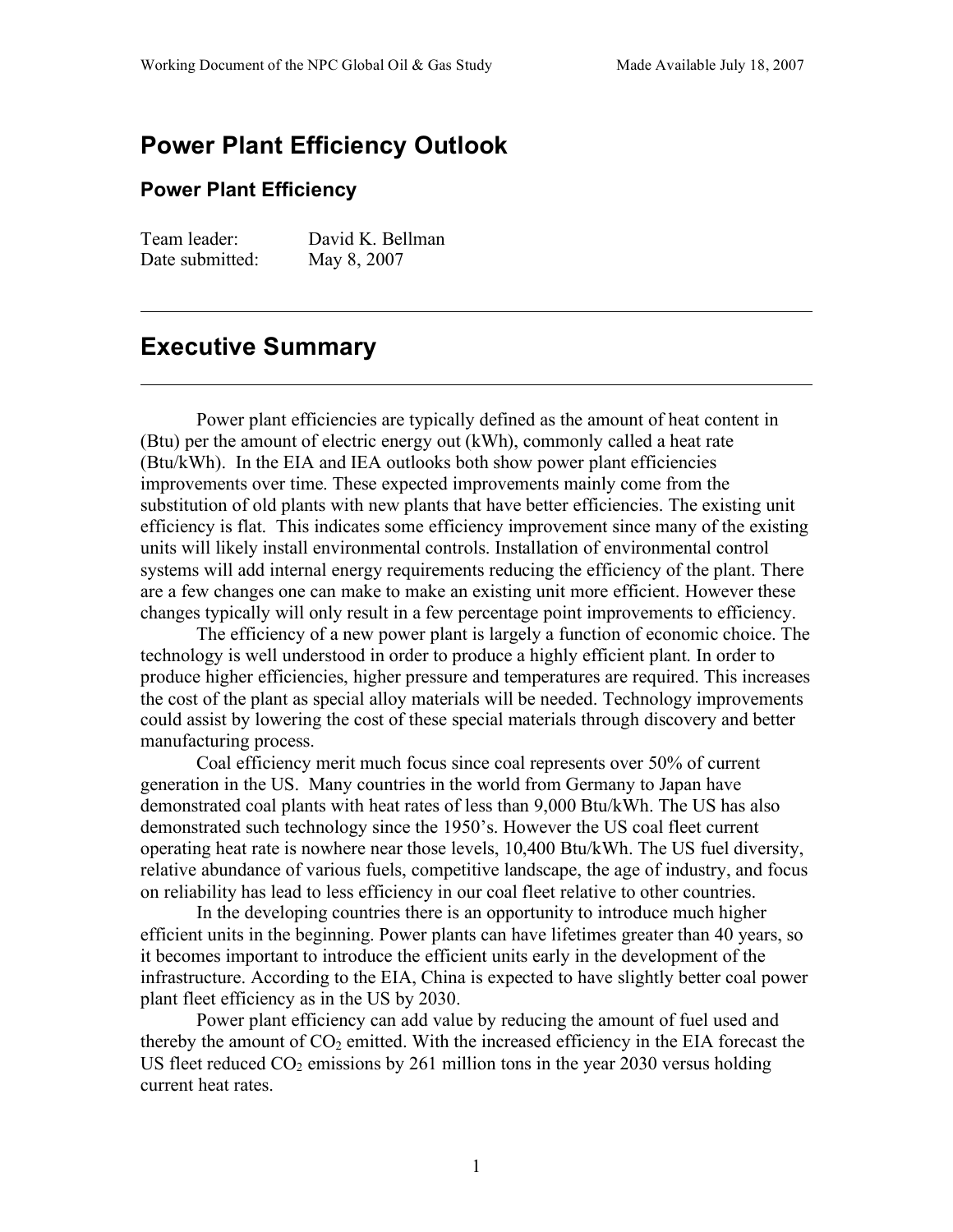# **Power Plant Efficiency Outlook**

# **Power Plant Efficiency**

Team leader: David K. Bellman Date submitted: May 8, 2007

# **Executive Summary**

Power plant efficiencies are typically defined as the amount of heat content in (Btu) per the amount of electric energy out (kWh), commonly called a heat rate (Btu/kWh). In the EIA and IEA outlooks both show power plant efficiencies improvements over time. These expected improvements mainly come from the substitution of old plants with new plants that have better efficiencies. The existing unit efficiency is flat. This indicates some efficiency improvement since many of the existing units will likely install environmental controls. Installation of environmental control systems will add internal energy requirements reducing the efficiency of the plant. There are a few changes one can make to make an existing unit more efficient. However these changes typically will only result in a few percentage point improvements to efficiency.

The efficiency of a new power plant is largely a function of economic choice. The technology is well understood in order to produce a highly efficient plant. In order to produce higher efficiencies, higher pressure and temperatures are required. This increases the cost of the plant as special alloy materials will be needed. Technology improvements could assist by lowering the cost of these special materials through discovery and better manufacturing process.

Coal efficiency merit much focus since coal represents over 50% of current generation in the US. Many countries in the world from Germany to Japan have demonstrated coal plants with heat rates of less than 9,000 Btu/kWh. The US has also demonstrated such technology since the 1950's. However the US coal fleet current operating heat rate is nowhere near those levels, 10,400 Btu/kWh. The US fuel diversity, relative abundance of various fuels, competitive landscape, the age of industry, and focus on reliability has lead to less efficiency in our coal fleet relative to other countries.

In the developing countries there is an opportunity to introduce much higher efficient units in the beginning. Power plants can have lifetimes greater than 40 years, so it becomes important to introduce the efficient units early in the development of the infrastructure. According to the EIA, China is expected to have slightly better coal power plant fleet efficiency as in the US by 2030.

Power plant efficiency can add value by reducing the amount of fuel used and thereby the amount of  $CO<sub>2</sub>$  emitted. With the increased efficiency in the EIA forecast the US fleet reduced  $CO_2$  emissions by 261 million tons in the year 2030 versus holding current heat rates.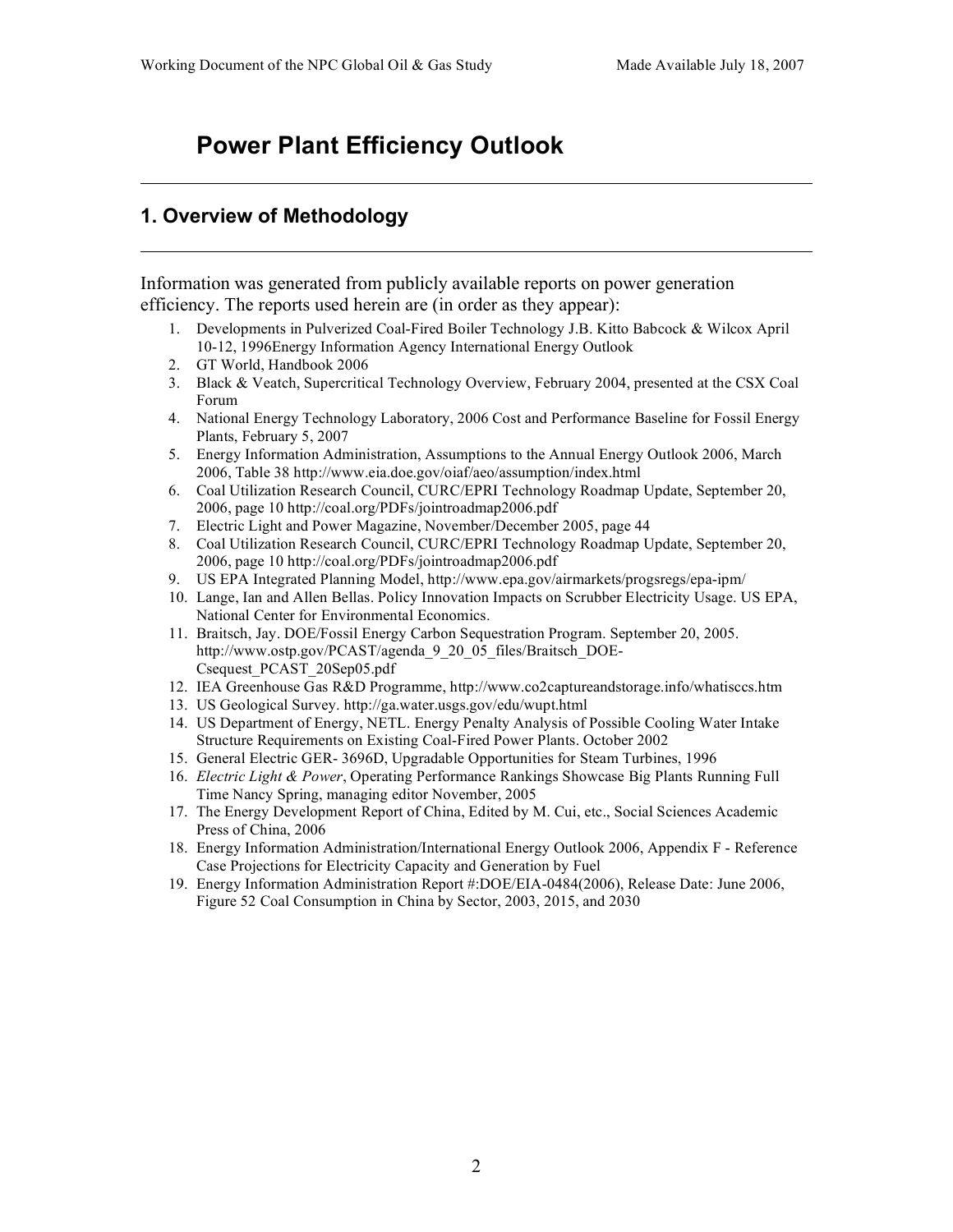# **Power Plant Efficiency Outlook**

# **1. Overview of Methodology**

Information was generated from publicly available reports on power generation efficiency. The reports used herein are (in order as they appear):

- 1. Developments in Pulverized Coal-Fired Boiler Technology J.B. Kitto Babcock & Wilcox April 10-12, 1996Energy Information Agency International Energy Outlook
- 2. GT World, Handbook 2006
- 3. Black & Veatch, Supercritical Technology Overview, February 2004, presented at the CSX Coal Forum
- 4. National Energy Technology Laboratory, 2006 Cost and Performance Baseline for Fossil Energy Plants, February 5, 2007
- 5. Energy Information Administration, Assumptions to the Annual Energy Outlook 2006, March 2006, Table 38 http://www.eia.doe.gov/oiaf/aeo/assumption/index.html
- 6. Coal Utilization Research Council, CURC/EPRI Technology Roadmap Update, September 20, 2006, page 10 http://coal.org/PDFs/jointroadmap2006.pdf
- 7. Electric Light and Power Magazine, November/December 2005, page 44
- 8. Coal Utilization Research Council, CURC/EPRI Technology Roadmap Update, September 20, 2006, page 10 http://coal.org/PDFs/jointroadmap2006.pdf
- 9. US EPA Integrated Planning Model, http://www.epa.gov/airmarkets/progsregs/epa-ipm/
- 10. Lange, Ian and Allen Bellas. Policy Innovation Impacts on Scrubber Electricity Usage. US EPA, National Center for Environmental Economics.
- 11. Braitsch, Jay. DOE/Fossil Energy Carbon Sequestration Program. September 20, 2005. http://www.ostp.gov/PCAST/agenda\_9\_20\_05\_files/Braitsch\_DOE-Csequest\_PCAST\_20Sep05.pdf
- 12. IEA Greenhouse Gas R&D Programme, http://www.co2captureandstorage.info/whatisccs.htm
- 13. US Geological Survey. http://ga.water.usgs.gov/edu/wupt.html
- 14. US Department of Energy, NETL. Energy Penalty Analysis of Possible Cooling Water Intake Structure Requirements on Existing Coal-Fired Power Plants. October 2002
- 15. General Electric GER- 3696D, Upgradable Opportunities for Steam Turbines, 1996
- 16. *Electric Light & Power*, Operating Performance Rankings Showcase Big Plants Running Full Time Nancy Spring, managing editor November, 2005
- 17. The Energy Development Report of China, Edited by M. Cui, etc., Social Sciences Academic Press of China, 2006
- 18. Energy Information Administration/International Energy Outlook 2006, Appendix F Reference Case Projections for Electricity Capacity and Generation by Fuel
- 19. Energy Information Administration Report #:DOE/EIA-0484(2006), Release Date: June 2006, Figure 52 Coal Consumption in China by Sector, 2003, 2015, and 2030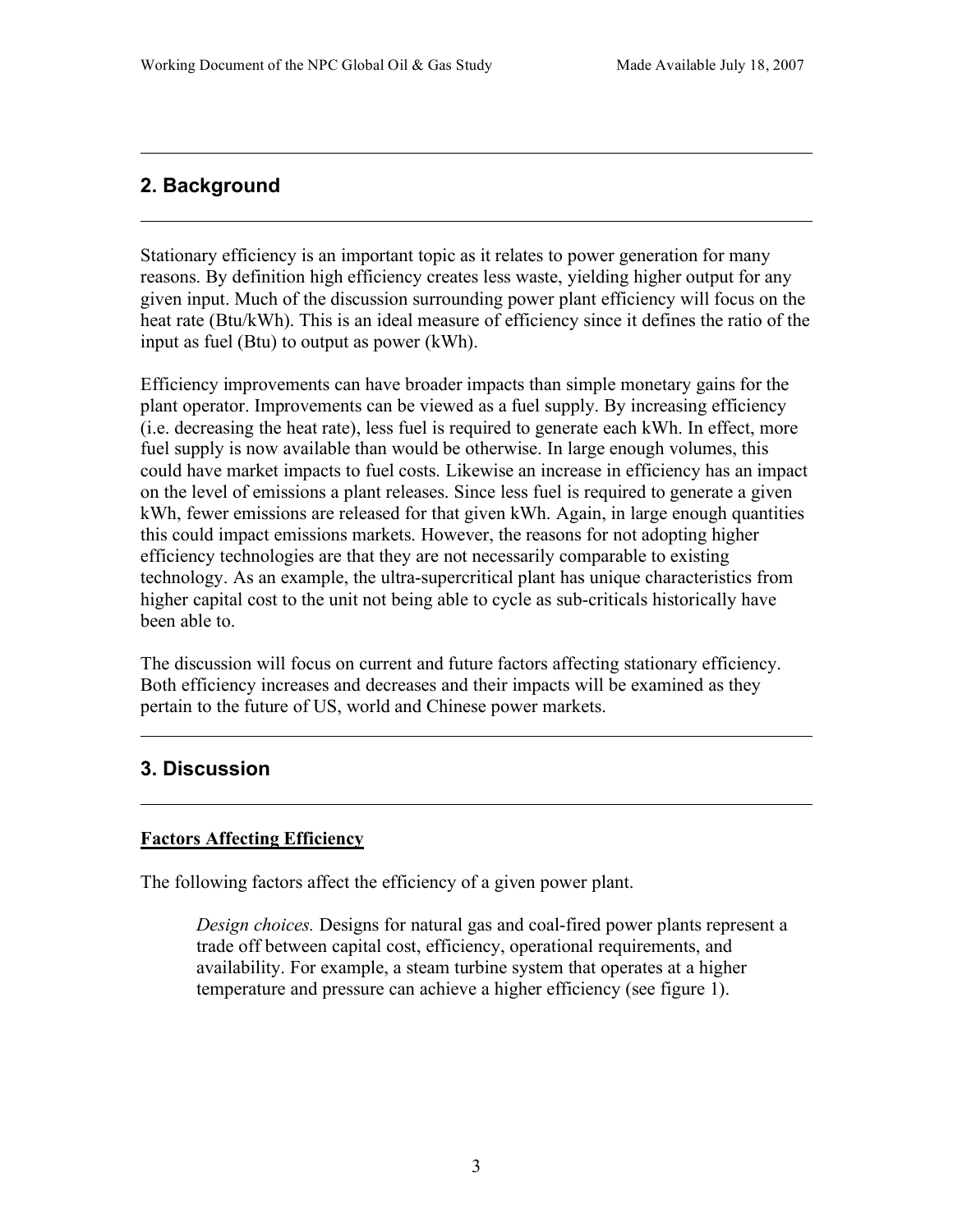# **2. Background**

Stationary efficiency is an important topic as it relates to power generation for many reasons. By definition high efficiency creates less waste, yielding higher output for any given input. Much of the discussion surrounding power plant efficiency will focus on the heat rate (Btu/kWh). This is an ideal measure of efficiency since it defines the ratio of the input as fuel (Btu) to output as power (kWh).

Efficiency improvements can have broader impacts than simple monetary gains for the plant operator. Improvements can be viewed as a fuel supply. By increasing efficiency (i.e. decreasing the heat rate), less fuel is required to generate each kWh. In effect, more fuel supply is now available than would be otherwise. In large enough volumes, this could have market impacts to fuel costs. Likewise an increase in efficiency has an impact on the level of emissions a plant releases. Since less fuel is required to generate a given kWh, fewer emissions are released for that given kWh. Again, in large enough quantities this could impact emissions markets. However, the reasons for not adopting higher efficiency technologies are that they are not necessarily comparable to existing technology. As an example, the ultra-supercritical plant has unique characteristics from higher capital cost to the unit not being able to cycle as sub-criticals historically have been able to.

The discussion will focus on current and future factors affecting stationary efficiency. Both efficiency increases and decreases and their impacts will be examined as they pertain to the future of US, world and Chinese power markets.

# **3. Discussion**

## **Factors Affecting Efficiency**

The following factors affect the efficiency of a given power plant.

*Design choices.* Designs for natural gas and coal-fired power plants represent a trade off between capital cost, efficiency, operational requirements, and availability. For example, a steam turbine system that operates at a higher temperature and pressure can achieve a higher efficiency (see figure 1).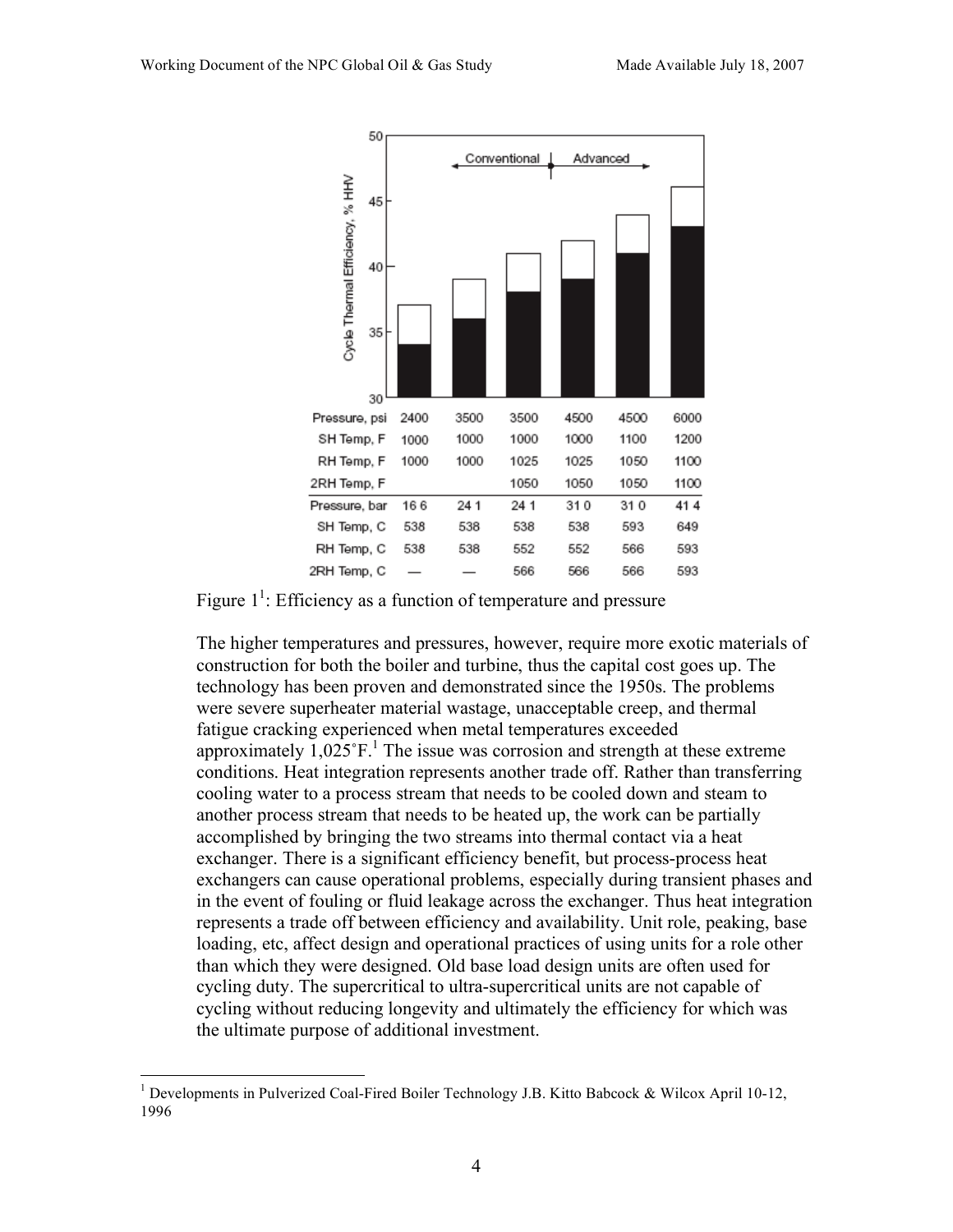



The higher temperatures and pressures, however, require more exotic materials of construction for both the boiler and turbine, thus the capital cost goes up. The technology has been proven and demonstrated since the 1950s. The problems were severe superheater material wastage, unacceptable creep, and thermal fatigue cracking experienced when metal temperatures exceeded approximately  $1,025$ °F.<sup>1</sup> The issue was corrosion and strength at these extreme conditions. Heat integration represents another trade off. Rather than transferring cooling water to a process stream that needs to be cooled down and steam to another process stream that needs to be heated up, the work can be partially accomplished by bringing the two streams into thermal contact via a heat exchanger. There is a significant efficiency benefit, but process-process heat exchangers can cause operational problems, especially during transient phases and in the event of fouling or fluid leakage across the exchanger. Thus heat integration represents a trade off between efficiency and availability. Unit role, peaking, base loading, etc, affect design and operational practices of using units for a role other than which they were designed. Old base load design units are often used for cycling duty. The supercritical to ultra-supercritical units are not capable of cycling without reducing longevity and ultimately the efficiency for which was the ultimate purpose of additional investment.

 $\frac{1}{1}$ <sup>1</sup> Developments in Pulverized Coal-Fired Boiler Technology J.B. Kitto Babcock & Wilcox April 10-12, 1996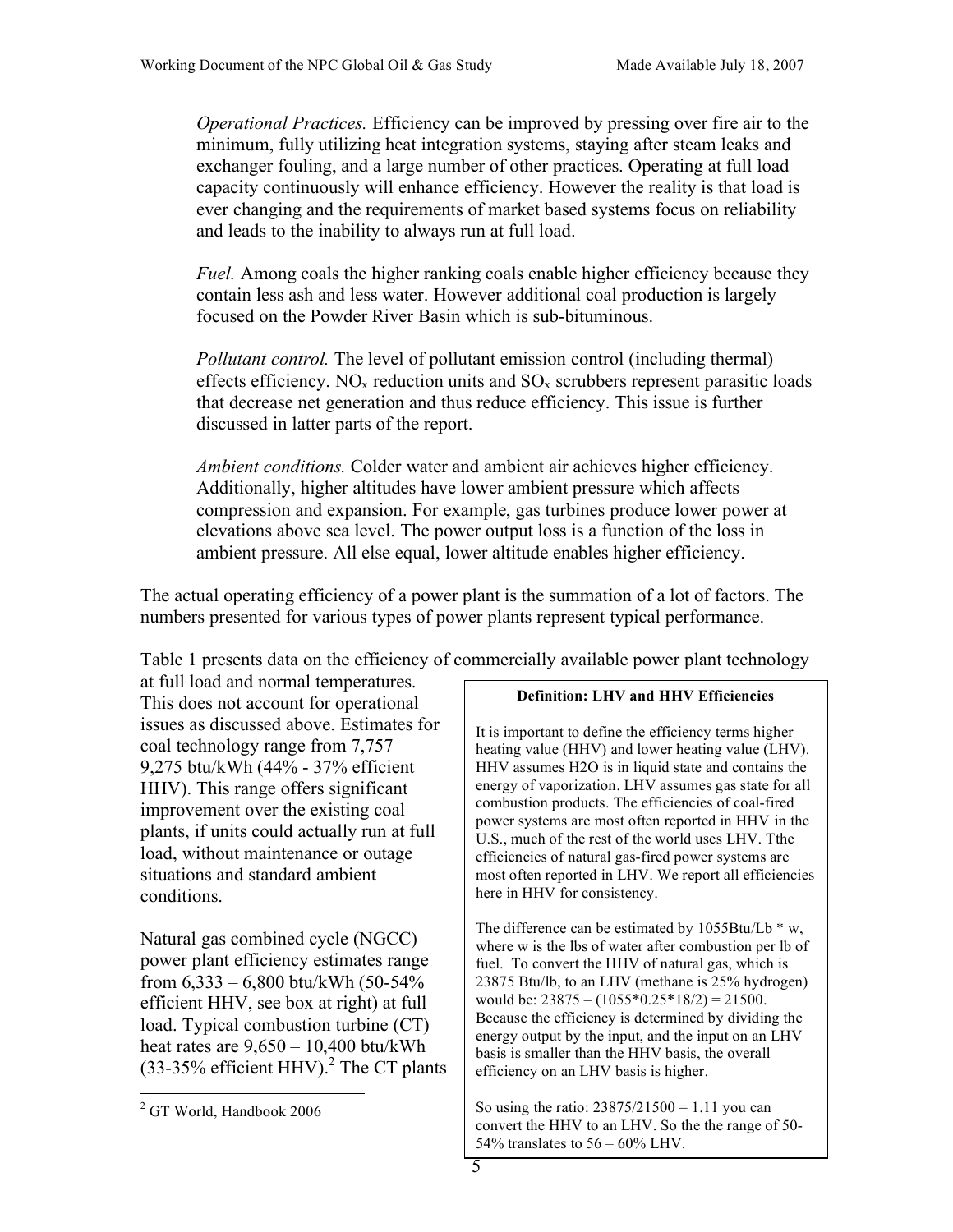*Operational Practices.* Efficiency can be improved by pressing over fire air to the minimum, fully utilizing heat integration systems, staying after steam leaks and exchanger fouling, and a large number of other practices. Operating at full load capacity continuously will enhance efficiency. However the reality is that load is ever changing and the requirements of market based systems focus on reliability and leads to the inability to always run at full load.

*Fuel.* Among coals the higher ranking coals enable higher efficiency because they contain less ash and less water. However additional coal production is largely focused on the Powder River Basin which is sub-bituminous.

*Pollutant control.* The level of pollutant emission control (including thermal) effects efficiency. NO<sub>x</sub> reduction units and  $SO_x$  scrubbers represent parasitic loads that decrease net generation and thus reduce efficiency. This issue is further discussed in latter parts of the report.

*Ambient conditions.* Colder water and ambient air achieves higher efficiency. Additionally, higher altitudes have lower ambient pressure which affects compression and expansion. For example, gas turbines produce lower power at elevations above sea level. The power output loss is a function of the loss in ambient pressure. All else equal, lower altitude enables higher efficiency.

The actual operating efficiency of a power plant is the summation of a lot of factors. The numbers presented for various types of power plants represent typical performance.

Table 1 presents data on the efficiency of commercially available power plant technology

at full load and normal temperatures. This does not account for operational issues as discussed above. Estimates for coal technology range from 7,757 – 9,275 btu/kWh (44% - 37% efficient HHV). This range offers significant improvement over the existing coal plants, if units could actually run at full load, without maintenance or outage situations and standard ambient conditions.

Natural gas combined cycle (NGCC) power plant efficiency estimates range from  $6,333 - 6,800$  btu/kWh  $(50-54\%$ efficient HHV, see box at right) at full load. Typical combustion turbine (CT) heat rates are 9,650 – 10,400 btu/kWh  $(33-35\%$  efficient HHV).<sup>2</sup> The CT plants

#### **Definition: LHV and HHV Efficiencies**

It is important to define the efficiency terms higher heating value (HHV) and lower heating value (LHV). HHV assumes H2O is in liquid state and contains the energy of vaporization. LHV assumes gas state for all combustion products. The efficiencies of coal-fired power systems are most often reported in HHV in the U.S., much of the rest of the world uses LHV. Tthe efficiencies of natural gas-fired power systems are most often reported in LHV. We report all efficiencies here in HHV for consistency.

The difference can be estimated by  $1055Btu/Lb * w$ , where w is the lbs of water after combustion per lb of fuel. To convert the HHV of natural gas, which is 23875 Btu/lb, to an LHV (methane is 25% hydrogen) would be:  $23875 - (1055*0.25*18/2) = 21500$ . Because the efficiency is determined by dividing the energy output by the input, and the input on an LHV basis is smaller than the HHV basis, the overall efficiency on an LHV basis is higher.

So using the ratio:  $23875/21500 = 1.11$  you can convert the HHV to an LHV. So the the range of 50- 54% translates to  $56 - 60\%$  LHV.

 $\frac{1}{2}$ <sup>2</sup> GT World, Handbook 2006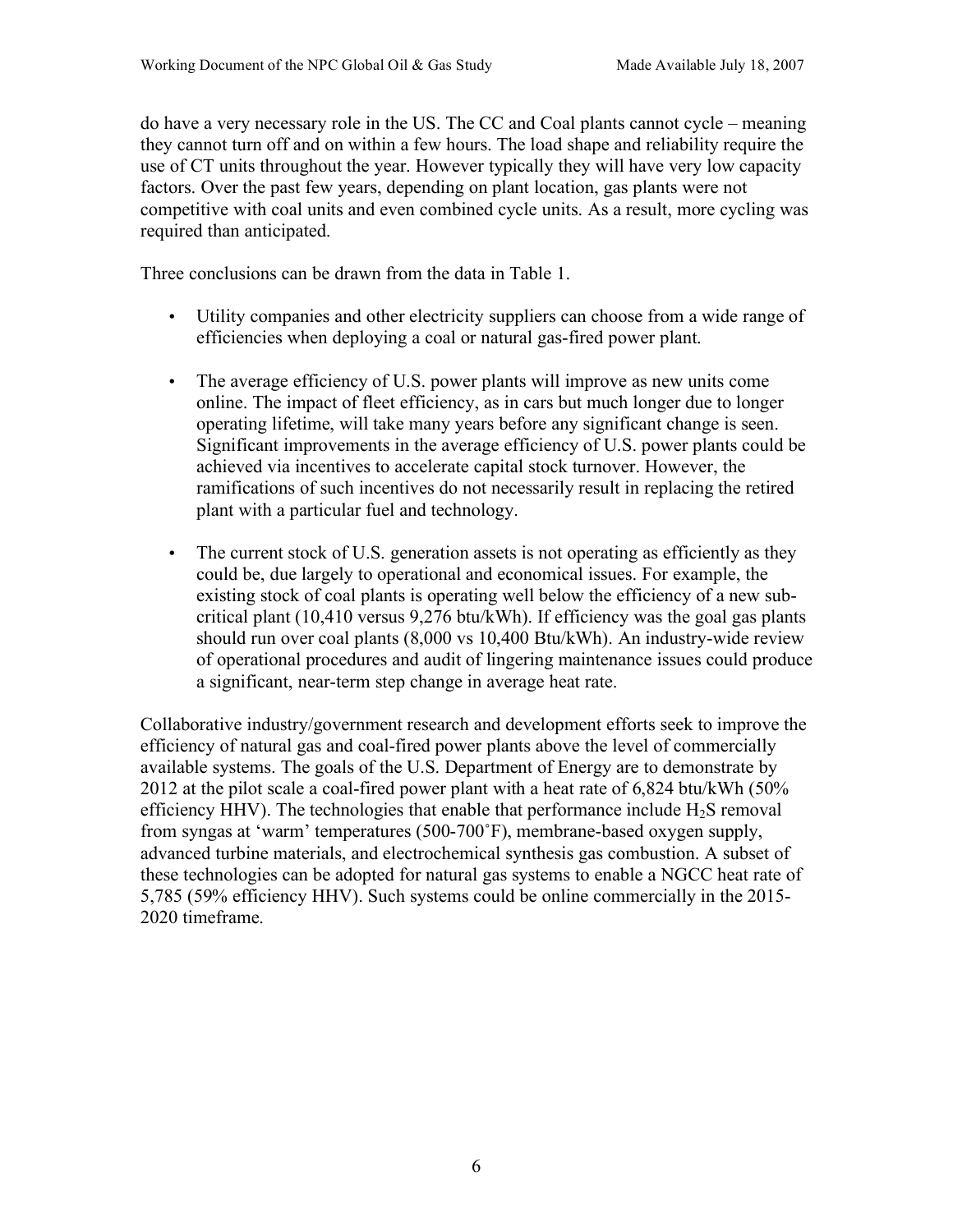do have a very necessary role in the US. The CC and Coal plants cannot cycle – meaning they cannot turn off and on within a few hours. The load shape and reliability require the use of CT units throughout the year. However typically they will have very low capacity factors. Over the past few years, depending on plant location, gas plants were not competitive with coal units and even combined cycle units. As a result, more cycling was required than anticipated.

Three conclusions can be drawn from the data in Table 1.

- Utility companies and other electricity suppliers can choose from a wide range of efficiencies when deploying a coal or natural gas-fired power plant.
- The average efficiency of U.S. power plants will improve as new units come online. The impact of fleet efficiency, as in cars but much longer due to longer operating lifetime, will take many years before any significant change is seen. Significant improvements in the average efficiency of U.S. power plants could be achieved via incentives to accelerate capital stock turnover. However, the ramifications of such incentives do not necessarily result in replacing the retired plant with a particular fuel and technology.
- The current stock of U.S. generation assets is not operating as efficiently as they could be, due largely to operational and economical issues. For example, the existing stock of coal plants is operating well below the efficiency of a new subcritical plant (10,410 versus 9,276 btu/kWh). If efficiency was the goal gas plants should run over coal plants (8,000 vs 10,400 Btu/kWh). An industry-wide review of operational procedures and audit of lingering maintenance issues could produce a significant, near-term step change in average heat rate.

Collaborative industry/government research and development efforts seek to improve the efficiency of natural gas and coal-fired power plants above the level of commercially available systems. The goals of the U.S. Department of Energy are to demonstrate by 2012 at the pilot scale a coal-fired power plant with a heat rate of 6,824 btu/kWh (50% efficiency HHV). The technologies that enable that performance include  $H_2S$  removal from syngas at 'warm' temperatures (500-700˚F), membrane-based oxygen supply, advanced turbine materials, and electrochemical synthesis gas combustion. A subset of these technologies can be adopted for natural gas systems to enable a NGCC heat rate of 5,785 (59% efficiency HHV). Such systems could be online commercially in the 2015- 2020 timeframe.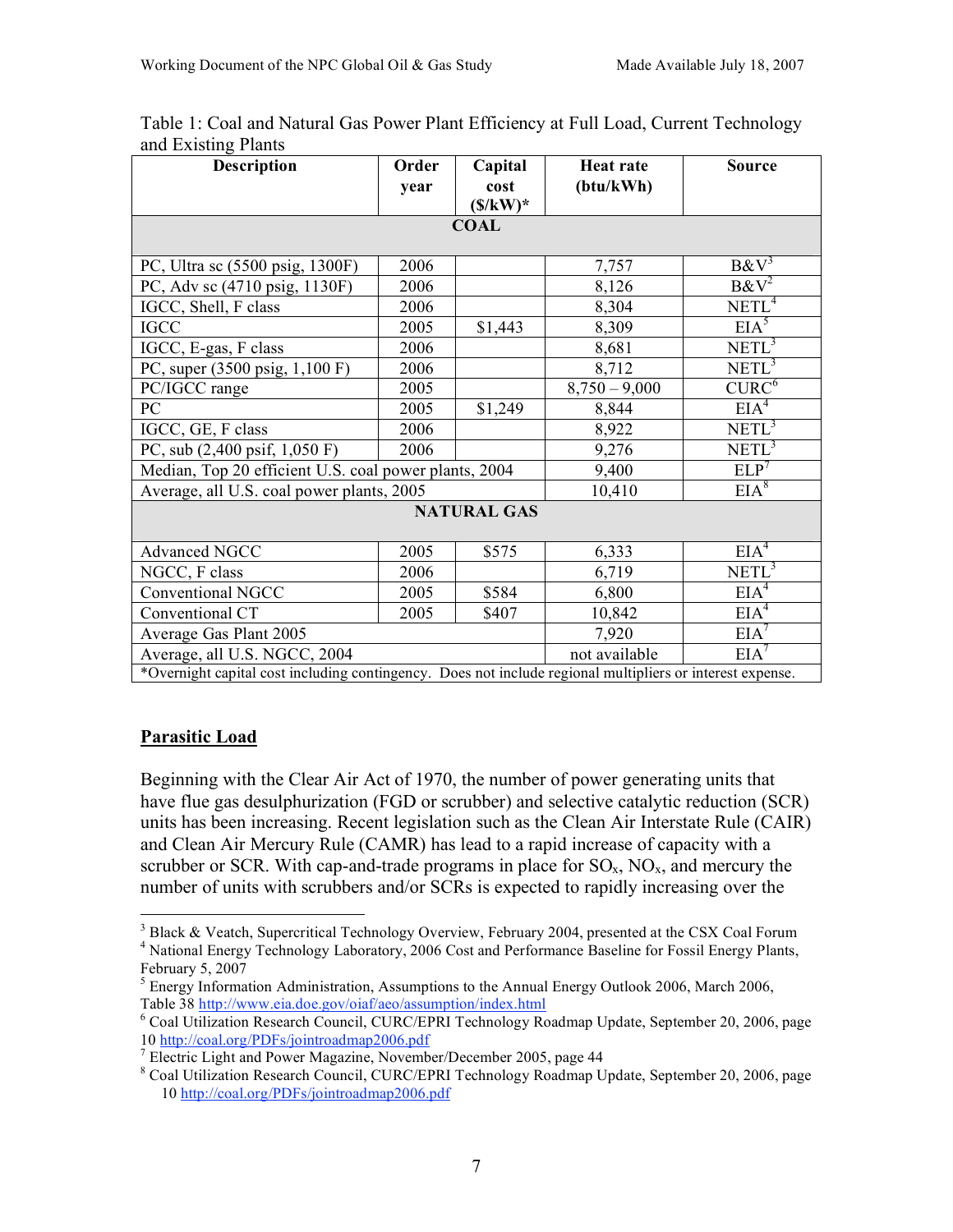| $\frac{1}{2}$<br><b>Description</b>                                                                       | Order<br>year | Capital<br>cost<br>$(\frac{s}{kW})^*$ | <b>Heat rate</b><br>$(\text{btu}/\text{kWh})$ | <b>Source</b>     |
|-----------------------------------------------------------------------------------------------------------|---------------|---------------------------------------|-----------------------------------------------|-------------------|
|                                                                                                           |               | <b>COAL</b>                           |                                               |                   |
| PC, Ultra sc (5500 psig, 1300F)                                                                           | 2006          |                                       | 7,757                                         | $B\&V^3$          |
| PC, Adv sc (4710 psig, 1130F)                                                                             | 2006          |                                       | 8,126                                         | $B\&V^2$          |
| IGCC, Shell, F class                                                                                      | 2006          |                                       | 8,304                                         | NETL <sup>4</sup> |
| <b>IGCC</b>                                                                                               | 2005          | \$1,443                               | 8,309                                         | EIA <sup>5</sup>  |
| IGCC, E-gas, F class                                                                                      | 2006          |                                       | 8,681                                         | NETL <sup>3</sup> |
| PC, super (3500 psig, 1,100 F)                                                                            | 2006          |                                       | 8,712                                         | $NETL^3$          |
| PC/IGCC range                                                                                             | 2005          |                                       | $8,750 - 9,000$                               | CURC <sup>6</sup> |
| PC                                                                                                        | 2005          | \$1,249                               | 8,844                                         | EIA <sup>4</sup>  |
| IGCC, GE, F class                                                                                         | 2006          |                                       | 8,922                                         | $NETL^3$          |
| PC, sub $(2,400 \text{ psif}, 1,050 \text{ F})$                                                           | 2006          |                                       | 9,276                                         | NETL <sup>3</sup> |
| Median, Top 20 efficient U.S. coal power plants, 2004                                                     |               |                                       | 9,400                                         | ELP <sup>7</sup>  |
| Average, all U.S. coal power plants, 2005                                                                 |               |                                       | 10,410                                        | EIA <sup>8</sup>  |
|                                                                                                           |               | <b>NATURAL GAS</b>                    |                                               |                   |
| Advanced NGCC                                                                                             | 2005          | \$575                                 | 6,333                                         | EIA <sup>4</sup>  |
| NGCC, F class                                                                                             | 2006          |                                       | 6,719                                         | $NETL^3$          |
| Conventional NGCC                                                                                         | 2005          | \$584                                 | 6,800                                         | EIA <sup>4</sup>  |
| Conventional CT                                                                                           | 2005          | \$407                                 | 10,842                                        | EIA <sup>4</sup>  |
| Average Gas Plant 2005                                                                                    |               |                                       | 7,920                                         | EIA <sup>7</sup>  |
| Average, all U.S. NGCC, 2004                                                                              |               |                                       | not available                                 | EIA <sup>7</sup>  |
| *Overnight capital cost including contingency. Does not include regional multipliers or interest expense. |               |                                       |                                               |                   |

Table 1: Coal and Natural Gas Power Plant Efficiency at Full Load, Current Technology and Existing Plants

## **Parasitic Load**

Beginning with the Clear Air Act of 1970, the number of power generating units that have flue gas desulphurization (FGD or scrubber) and selective catalytic reduction (SCR) units has been increasing. Recent legislation such as the Clean Air Interstate Rule (CAIR) and Clean Air Mercury Rule (CAMR) has lead to a rapid increase of capacity with a scrubber or SCR. With cap-and-trade programs in place for  $\rm SO_{x}$ ,  $\rm NO_{x}$ , and mercury the number of units with scrubbers and/or SCRs is expected to rapidly increasing over the

 $\frac{1}{3}$  $3$  Black & Veatch, Supercritical Technology Overview, February 2004, presented at the CSX Coal Forum <sup>4</sup> National Energy Technology Laboratory, 2006 Cost and Performance Baseline for Fossil Energy Plants, February  $5, 2007$ 

 $<sup>5</sup>$  Energy Information Administration, Assumptions to the Annual Energy Outlook 2006, March 2006,</sup> Table 38 http://www.eia.doe.gov/oiaf/aeo/assumption/index.html <sup>6</sup>

<sup>&</sup>lt;sup>6</sup> Coal Utilization Research Council, CURC/EPRI Technology Roadmap Update, September 20, 2006, page 10 http://coal.org/PDFs/jointroadmap2006.pdf <sup>7</sup>

<sup>&</sup>lt;sup>7</sup> Electric Light and Power Magazine, November/December 2005, page 44

<sup>&</sup>lt;sup>8</sup> Coal Utilization Research Council, CURC/EPRI Technology Roadmap Update, September 20, 2006, page 10 http://coal.org/PDFs/jointroadmap2006.pdf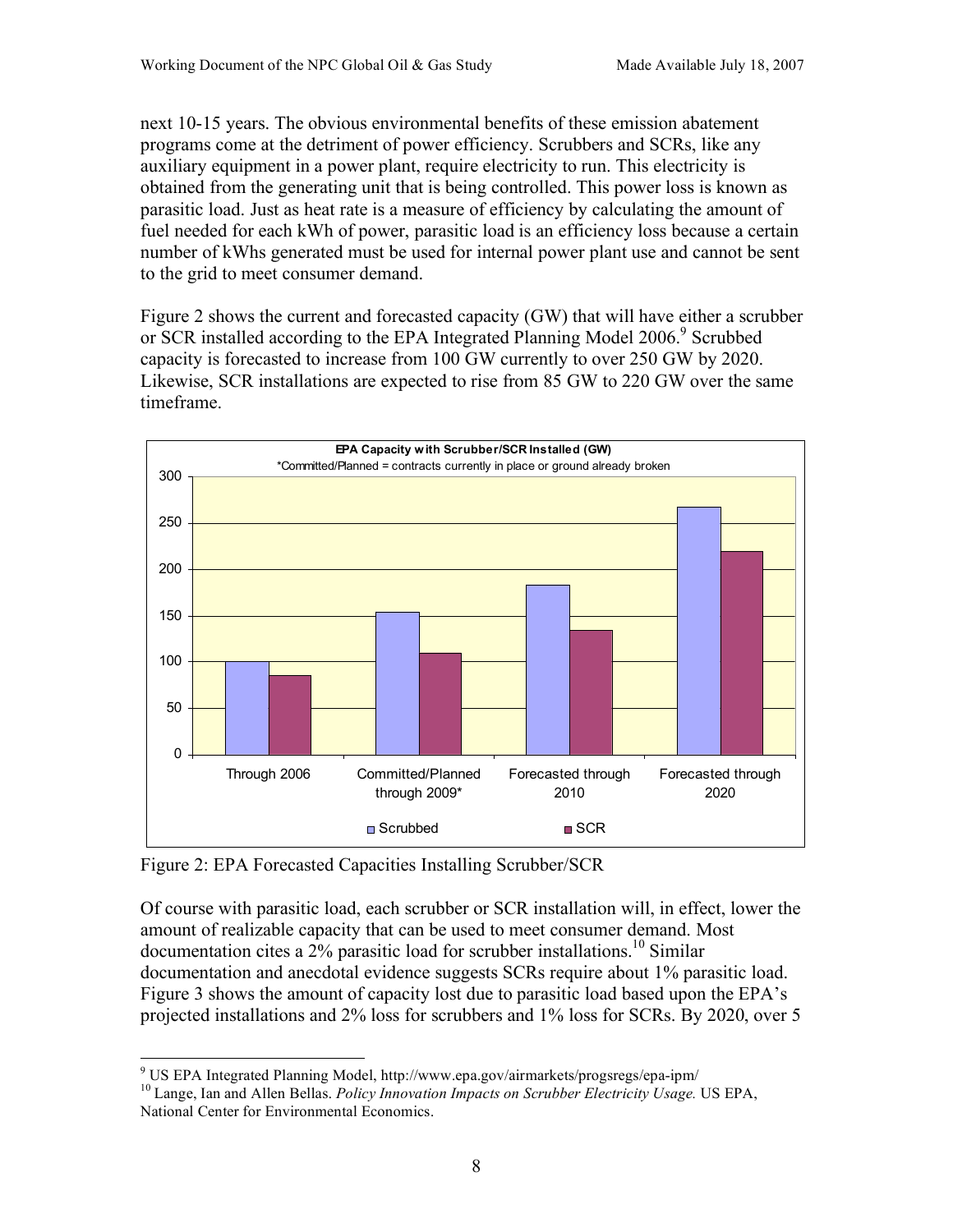next 10-15 years. The obvious environmental benefits of these emission abatement programs come at the detriment of power efficiency. Scrubbers and SCRs, like any auxiliary equipment in a power plant, require electricity to run. This electricity is obtained from the generating unit that is being controlled. This power loss is known as parasitic load. Just as heat rate is a measure of efficiency by calculating the amount of fuel needed for each kWh of power, parasitic load is an efficiency loss because a certain number of kWhs generated must be used for internal power plant use and cannot be sent to the grid to meet consumer demand.

Figure 2 shows the current and forecasted capacity (GW) that will have either a scrubber or SCR installed according to the EPA Integrated Planning Model 2006.<sup>9</sup> Scrubbed capacity is forecasted to increase from 100 GW currently to over 250 GW by 2020. Likewise, SCR installations are expected to rise from 85 GW to 220 GW over the same timeframe.



Figure 2: EPA Forecasted Capacities Installing Scrubber/SCR

Of course with parasitic load, each scrubber or SCR installation will, in effect, lower the amount of realizable capacity that can be used to meet consumer demand. Most documentation cites a 2% parasitic load for scrubber installations.<sup>10</sup> Similar documentation and anecdotal evidence suggests SCRs require about 1% parasitic load. Figure 3 shows the amount of capacity lost due to parasitic load based upon the EPA's projected installations and 2% loss for scrubbers and 1% loss for SCRs. By 2020, over 5

<sup>-&</sup>lt;br>9

US EPA Integrated Planning Model, http://www.epa.gov/airmarkets/progsregs/epa-ipm/ 10 Lange, Ian and Allen Bellas. *Policy Innovation Impacts on Scrubber Electricity Usage.* US EPA, National Center for Environmental Economics.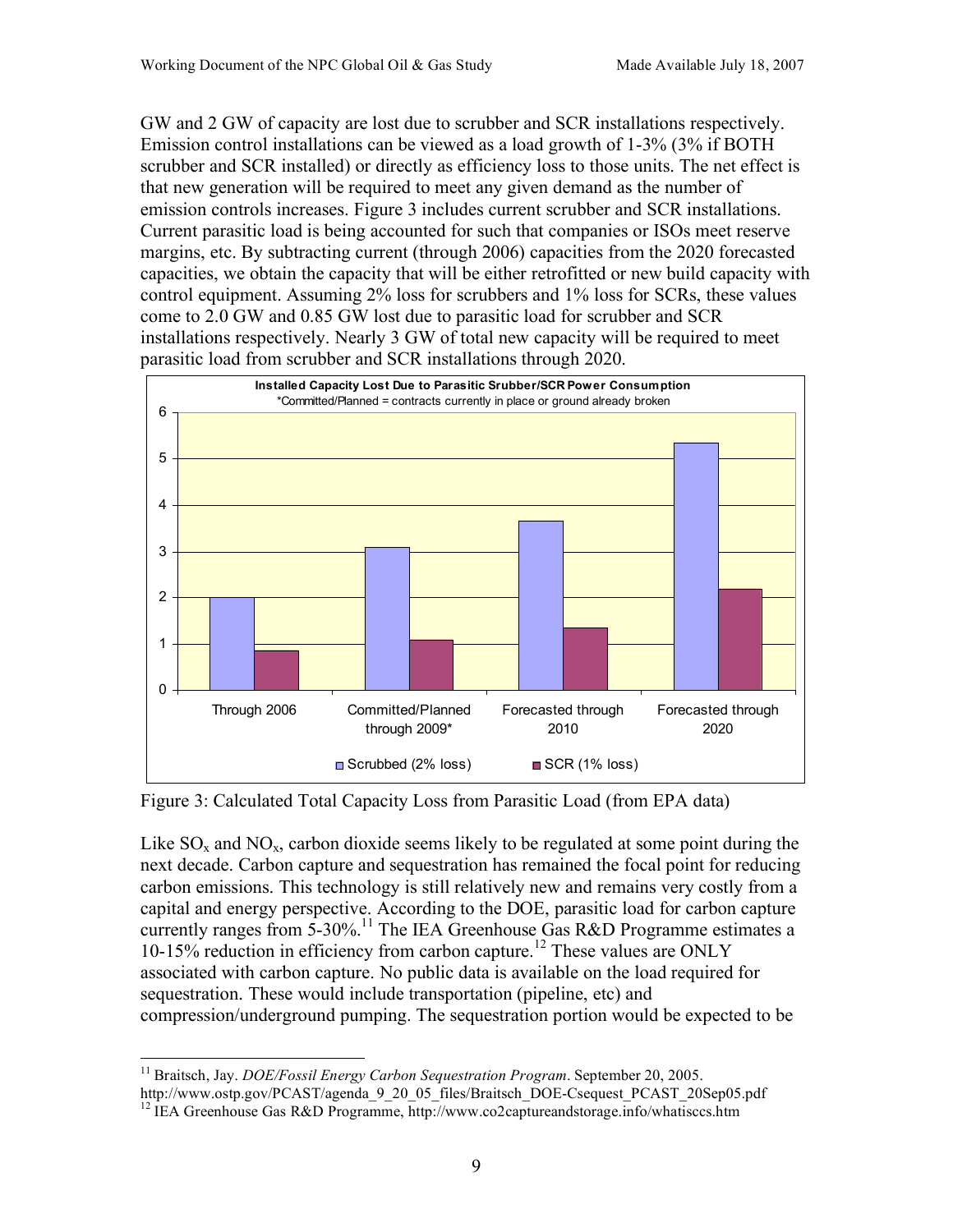GW and 2 GW of capacity are lost due to scrubber and SCR installations respectively. Emission control installations can be viewed as a load growth of 1-3% (3% if BOTH scrubber and SCR installed) or directly as efficiency loss to those units. The net effect is that new generation will be required to meet any given demand as the number of emission controls increases. Figure 3 includes current scrubber and SCR installations. Current parasitic load is being accounted for such that companies or ISOs meet reserve margins, etc. By subtracting current (through 2006) capacities from the 2020 forecasted capacities, we obtain the capacity that will be either retrofitted or new build capacity with control equipment. Assuming 2% loss for scrubbers and 1% loss for SCRs, these values come to 2.0 GW and 0.85 GW lost due to parasitic load for scrubber and SCR installations respectively. Nearly 3 GW of total new capacity will be required to meet parasitic load from scrubber and SCR installations through 2020.



Figure 3: Calculated Total Capacity Loss from Parasitic Load (from EPA data)

Like  $SO_x$  and  $NO_x$ , carbon dioxide seems likely to be regulated at some point during the next decade. Carbon capture and sequestration has remained the focal point for reducing carbon emissions. This technology is still relatively new and remains very costly from a capital and energy perspective. According to the DOE, parasitic load for carbon capture currently ranges from 5-30%.<sup>11</sup> The IEA Greenhouse Gas R&D Programme estimates a 10-15% reduction in efficiency from carbon capture.<sup>12</sup> These values are ONLY associated with carbon capture. No public data is available on the load required for sequestration. These would include transportation (pipeline, etc) and compression/underground pumping. The sequestration portion would be expected to be

<sup>&</sup>lt;sup>11</sup> Braitsch, Jay. *DOE/Fossil Energy Carbon Sequestration Program*. September 20, 2005.<br>http://www.ostp.gov/PCAST/agenda\_9\_20\_05\_files/Braitsch\_DOE-Csequest\_PCAST\_20Sep05.pdf

<sup>&</sup>lt;sup>12</sup> IEA Greenhouse Gas R&D Programme, http://www.co2captureandstorage.info/whatisccs.htm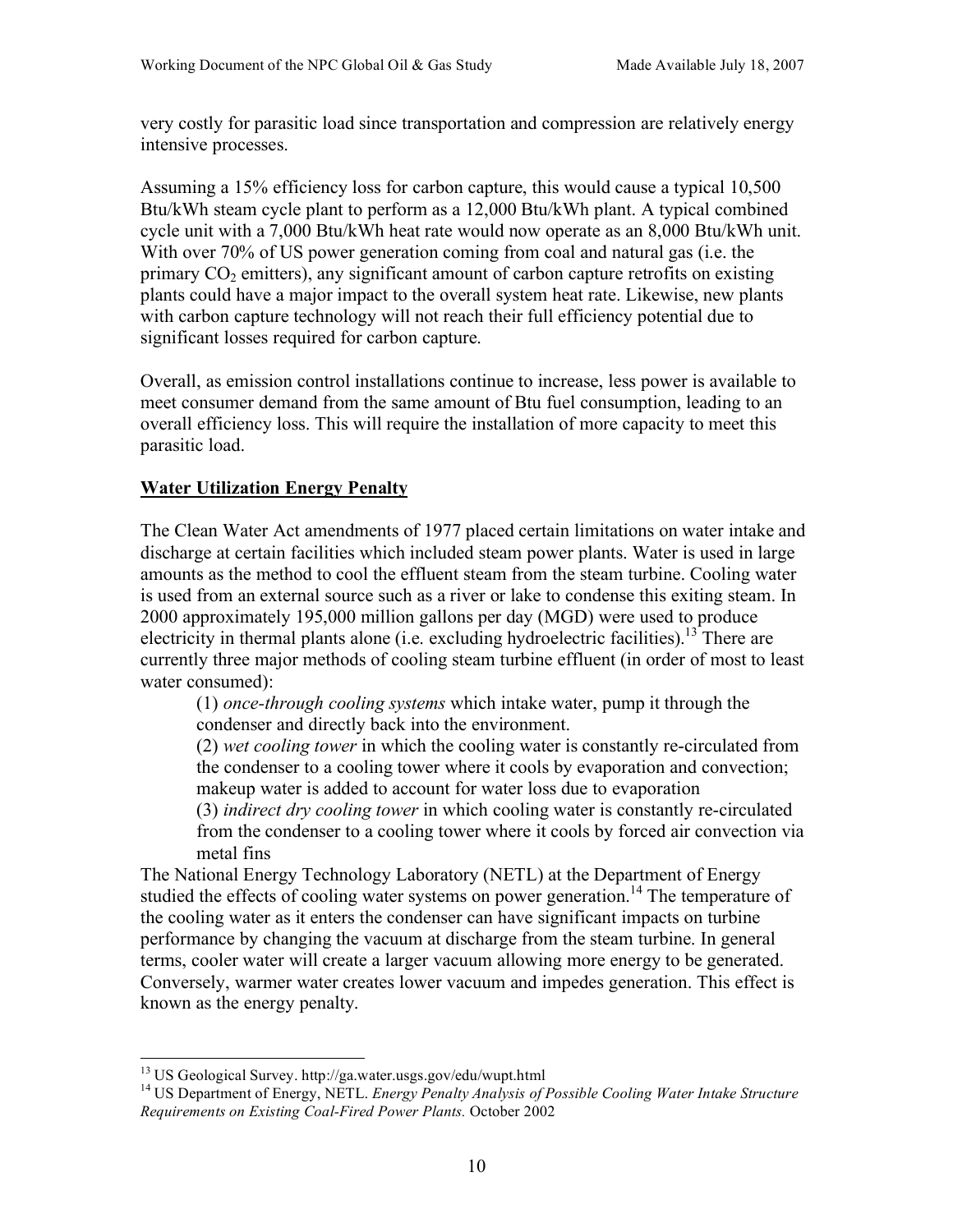very costly for parasitic load since transportation and compression are relatively energy intensive processes.

Assuming a 15% efficiency loss for carbon capture, this would cause a typical 10,500 Btu/kWh steam cycle plant to perform as a 12,000 Btu/kWh plant. A typical combined cycle unit with a 7,000 Btu/kWh heat rate would now operate as an 8,000 Btu/kWh unit. With over 70% of US power generation coming from coal and natural gas (i.e. the primary  $CO<sub>2</sub>$  emitters), any significant amount of carbon capture retrofits on existing plants could have a major impact to the overall system heat rate. Likewise, new plants with carbon capture technology will not reach their full efficiency potential due to significant losses required for carbon capture.

Overall, as emission control installations continue to increase, less power is available to meet consumer demand from the same amount of Btu fuel consumption, leading to an overall efficiency loss. This will require the installation of more capacity to meet this parasitic load.

## **Water Utilization Energy Penalty**

The Clean Water Act amendments of 1977 placed certain limitations on water intake and discharge at certain facilities which included steam power plants. Water is used in large amounts as the method to cool the effluent steam from the steam turbine. Cooling water is used from an external source such as a river or lake to condense this exiting steam. In 2000 approximately 195,000 million gallons per day (MGD) were used to produce electricity in thermal plants alone (i.e. excluding hydroelectric facilities).<sup>13</sup> There are currently three major methods of cooling steam turbine effluent (in order of most to least water consumed):

(1) *once-through cooling systems* which intake water, pump it through the condenser and directly back into the environment.

(2) *wet cooling tower* in which the cooling water is constantly re-circulated from the condenser to a cooling tower where it cools by evaporation and convection; makeup water is added to account for water loss due to evaporation

(3) *indirect dry cooling tower* in which cooling water is constantly re-circulated from the condenser to a cooling tower where it cools by forced air convection via metal fins

The National Energy Technology Laboratory (NETL) at the Department of Energy studied the effects of cooling water systems on power generation.<sup>14</sup> The temperature of the cooling water as it enters the condenser can have significant impacts on turbine performance by changing the vacuum at discharge from the steam turbine. In general terms, cooler water will create a larger vacuum allowing more energy to be generated. Conversely, warmer water creates lower vacuum and impedes generation. This effect is known as the energy penalty.

 <sup>13</sup> US Geological Survey. http://ga.water.usgs.gov/edu/wupt.html

<sup>14</sup> US Department of Energy, NETL. *Energy Penalty Analysis of Possible Cooling Water Intake Structure Requirements on Existing Coal-Fired Power Plants.* October 2002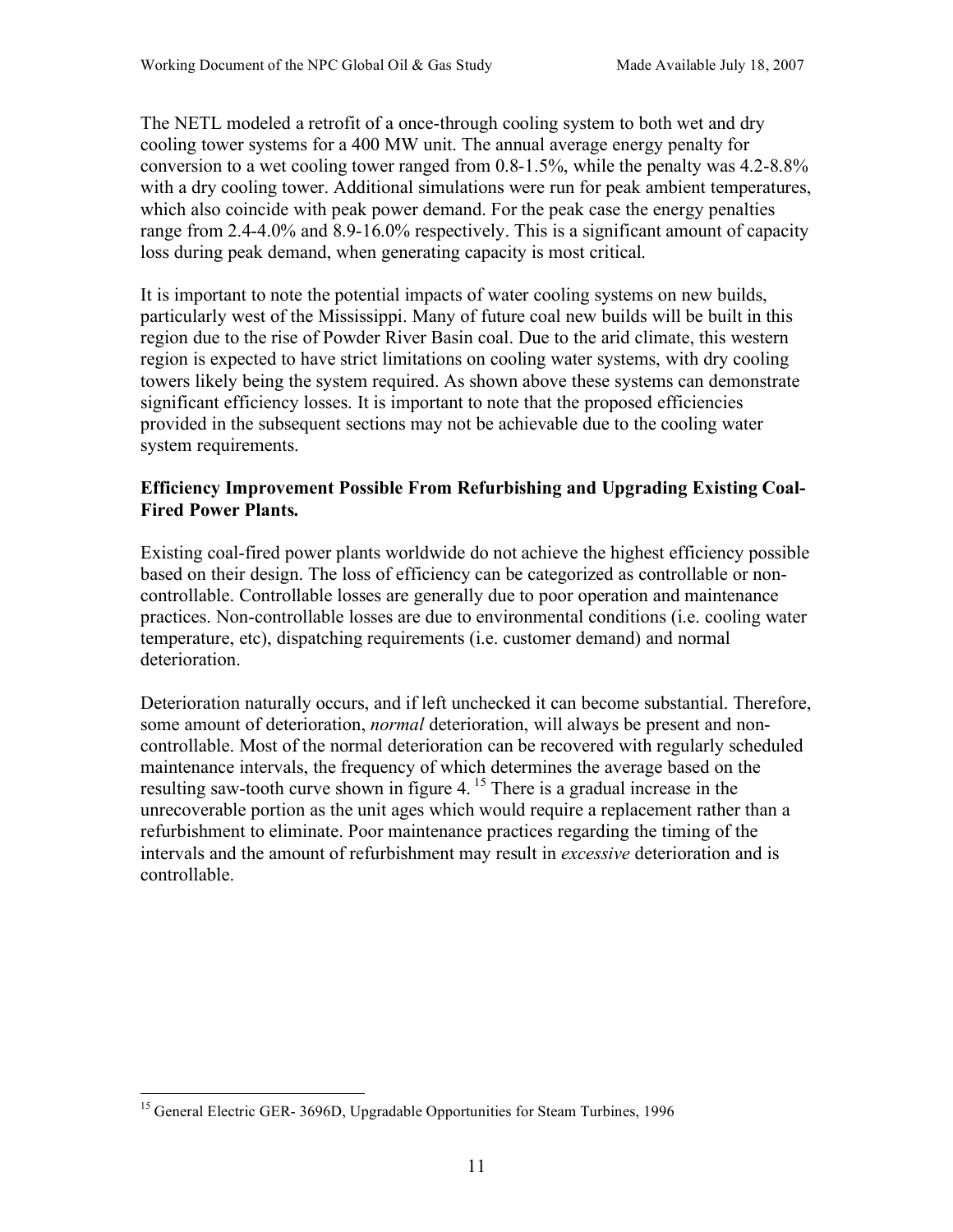The NETL modeled a retrofit of a once-through cooling system to both wet and dry cooling tower systems for a 400 MW unit. The annual average energy penalty for conversion to a wet cooling tower ranged from 0.8-1.5%, while the penalty was 4.2-8.8% with a dry cooling tower. Additional simulations were run for peak ambient temperatures, which also coincide with peak power demand. For the peak case the energy penalties range from 2.4-4.0% and 8.9-16.0% respectively. This is a significant amount of capacity loss during peak demand, when generating capacity is most critical.

It is important to note the potential impacts of water cooling systems on new builds, particularly west of the Mississippi. Many of future coal new builds will be built in this region due to the rise of Powder River Basin coal. Due to the arid climate, this western region is expected to have strict limitations on cooling water systems, with dry cooling towers likely being the system required. As shown above these systems can demonstrate significant efficiency losses. It is important to note that the proposed efficiencies provided in the subsequent sections may not be achievable due to the cooling water system requirements.

# **Efficiency Improvement Possible From Refurbishing and Upgrading Existing Coal-Fired Power Plants.**

Existing coal-fired power plants worldwide do not achieve the highest efficiency possible based on their design. The loss of efficiency can be categorized as controllable or noncontrollable. Controllable losses are generally due to poor operation and maintenance practices. Non-controllable losses are due to environmental conditions (i.e. cooling water temperature, etc), dispatching requirements (i.e. customer demand) and normal deterioration.

Deterioration naturally occurs, and if left unchecked it can become substantial. Therefore, some amount of deterioration, *normal* deterioration, will always be present and noncontrollable. Most of the normal deterioration can be recovered with regularly scheduled maintenance intervals, the frequency of which determines the average based on the resulting saw-tooth curve shown in figure 4. 15 There is a gradual increase in the unrecoverable portion as the unit ages which would require a replacement rather than a refurbishment to eliminate. Poor maintenance practices regarding the timing of the intervals and the amount of refurbishment may result in *excessive* deterioration and is controllable.

<sup>&</sup>lt;sup>15</sup> General Electric GER- 3696D, Upgradable Opportunities for Steam Turbines, 1996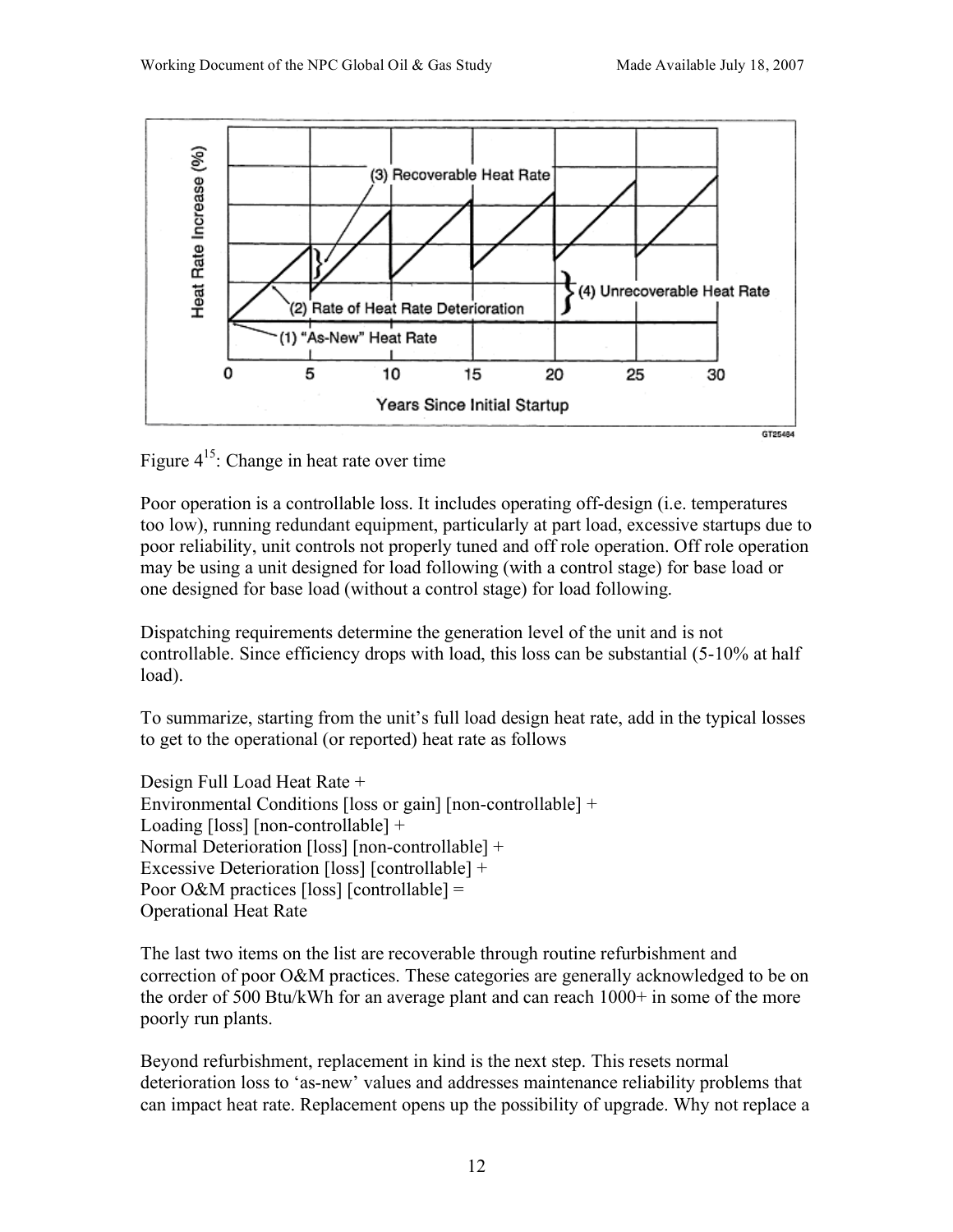

Figure  $4^{15}$ : Change in heat rate over time

Poor operation is a controllable loss. It includes operating off-design (i.e. temperatures too low), running redundant equipment, particularly at part load, excessive startups due to poor reliability, unit controls not properly tuned and off role operation. Off role operation may be using a unit designed for load following (with a control stage) for base load or one designed for base load (without a control stage) for load following.

Dispatching requirements determine the generation level of the unit and is not controllable. Since efficiency drops with load, this loss can be substantial (5-10% at half load).

To summarize, starting from the unit's full load design heat rate, add in the typical losses to get to the operational (or reported) heat rate as follows

Design Full Load Heat Rate + Environmental Conditions [loss or gain] [non-controllable] + Loading [loss] [non-controllable] + Normal Deterioration [loss] [non-controllable] + Excessive Deterioration [loss] [controllable] + Poor O&M practices [loss] [controllable] = Operational Heat Rate

The last two items on the list are recoverable through routine refurbishment and correction of poor O&M practices. These categories are generally acknowledged to be on the order of 500 Btu/kWh for an average plant and can reach 1000+ in some of the more poorly run plants.

Beyond refurbishment, replacement in kind is the next step. This resets normal deterioration loss to 'as-new' values and addresses maintenance reliability problems that can impact heat rate. Replacement opens up the possibility of upgrade. Why not replace a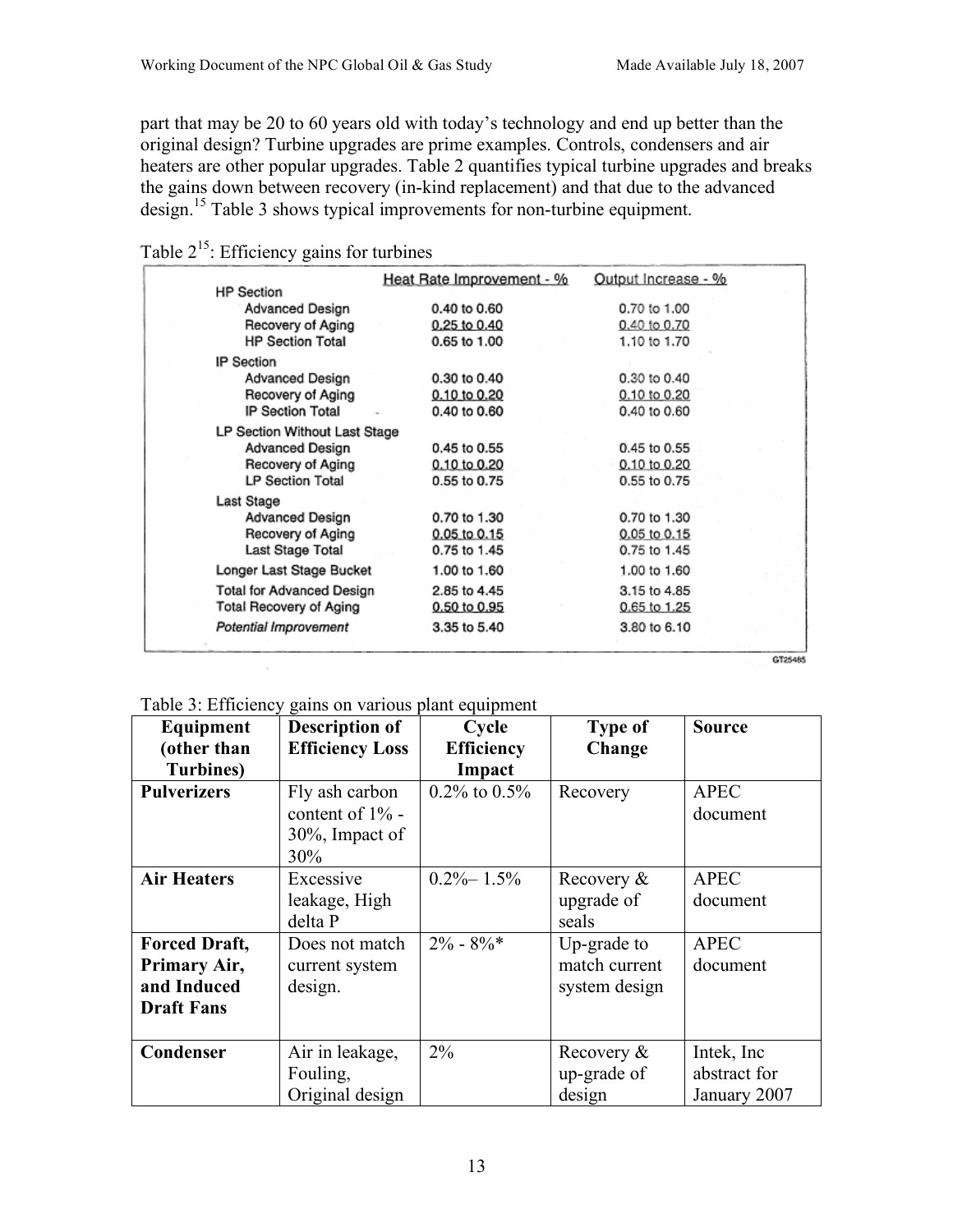part that may be 20 to 60 years old with today's technology and end up better than the original design? Turbine upgrades are prime examples. Controls, condensers and air heaters are other popular upgrades. Table 2 quantifies typical turbine upgrades and breaks the gains down between recovery (in-kind replacement) and that due to the advanced design.15 Table 3 shows typical improvements for non-turbine equipment.

| <b>HP Section</b>                | Heat Rate Improvement - % | Output Increase - % |         |
|----------------------------------|---------------------------|---------------------|---------|
| Advanced Design                  | 0.40 to 0.60              | 0.70 to 1.00        |         |
| Recovery of Aging                | 0.25 to 0.40              | 0.40 to 0.70        |         |
| <b>HP Section Total</b>          | 0.65 to 1.00              | 1.10 to 1.70        |         |
| IP Section                       |                           |                     |         |
| Advanced Design                  | 0.30 to 0.40              | 0.30 to 0.40        |         |
| Recovery of Aging                | 0.10 to 0.20              | 0.10 to 0.20        |         |
| IP Section Total                 | 0.40 to 0.60              | 0.40 to 0.60        |         |
| LP Section Without Last Stage    |                           |                     |         |
| Advanced Design                  | 0.45 to 0.55              | 0.45 to 0.55        |         |
| Recovery of Aging                | 0.10 to 0.20              | 0.10 to 0.20        |         |
| <b>LP Section Total</b>          | 0.55 to 0.75              | 0.55 to 0.75        |         |
| Last Stage                       |                           |                     |         |
| Advanced Design                  | 0.70 to 1.30              | 0.70 to 1.30        |         |
| Recovery of Aging                | 0.05 to 0.15              | 0.05 to 0.15        |         |
| Last Stage Total                 | 0.75 to 1.45              | 0.75 to 1.45        |         |
| Longer Last Stage Bucket         | 1.00 to 1.60              | 1.00 to 1.60        |         |
| <b>Total for Advanced Design</b> | 2.85 to 4.45              | 3.15 to 4.85        |         |
| <b>Total Recovery of Aging</b>   | 0.50 to 0.95              | 0.65 to 1.25        |         |
| Potential Improvement            | 3.35 to 5.40              | 3.80 to 6.10        |         |
|                                  |                           |                     |         |
|                                  |                           |                     | GT25485 |

| Table $2^{15}$ : Efficiency gains for turbines |  |  |  |  |  |
|------------------------------------------------|--|--|--|--|--|
|------------------------------------------------|--|--|--|--|--|

Table 3: Efficiency gains on various plant equipment

| Equipment                                                                | <b>Description of</b>                                          | Cycle              | <b>Type of</b>                                | <b>Source</b>                               |
|--------------------------------------------------------------------------|----------------------------------------------------------------|--------------------|-----------------------------------------------|---------------------------------------------|
| (other than                                                              | <b>Efficiency Loss</b>                                         | <b>Efficiency</b>  | Change                                        |                                             |
| <b>Turbines</b> )                                                        |                                                                | Impact             |                                               |                                             |
| <b>Pulverizers</b>                                                       | Fly ash carbon<br>content of 1% -<br>$30\%$ , Impact of<br>30% | $0.2\%$ to $0.5\%$ | Recovery                                      | <b>APEC</b><br>document                     |
| <b>Air Heaters</b>                                                       | Excessive<br>leakage, High<br>delta P                          | $0.2\% - 1.5\%$    | Recovery &<br>upgrade of<br>seals             | <b>APEC</b><br>document                     |
| <b>Forced Draft,</b><br>Primary Air,<br>and Induced<br><b>Draft Fans</b> | Does not match<br>current system<br>design.                    | $2\% - 8\%$        | Up-grade to<br>match current<br>system design | <b>APEC</b><br>document                     |
| Condenser                                                                | Air in leakage,<br>Fouling,<br>Original design                 | $2\%$              | Recovery &<br>up-grade of<br>design           | Intek, Inc.<br>abstract for<br>January 2007 |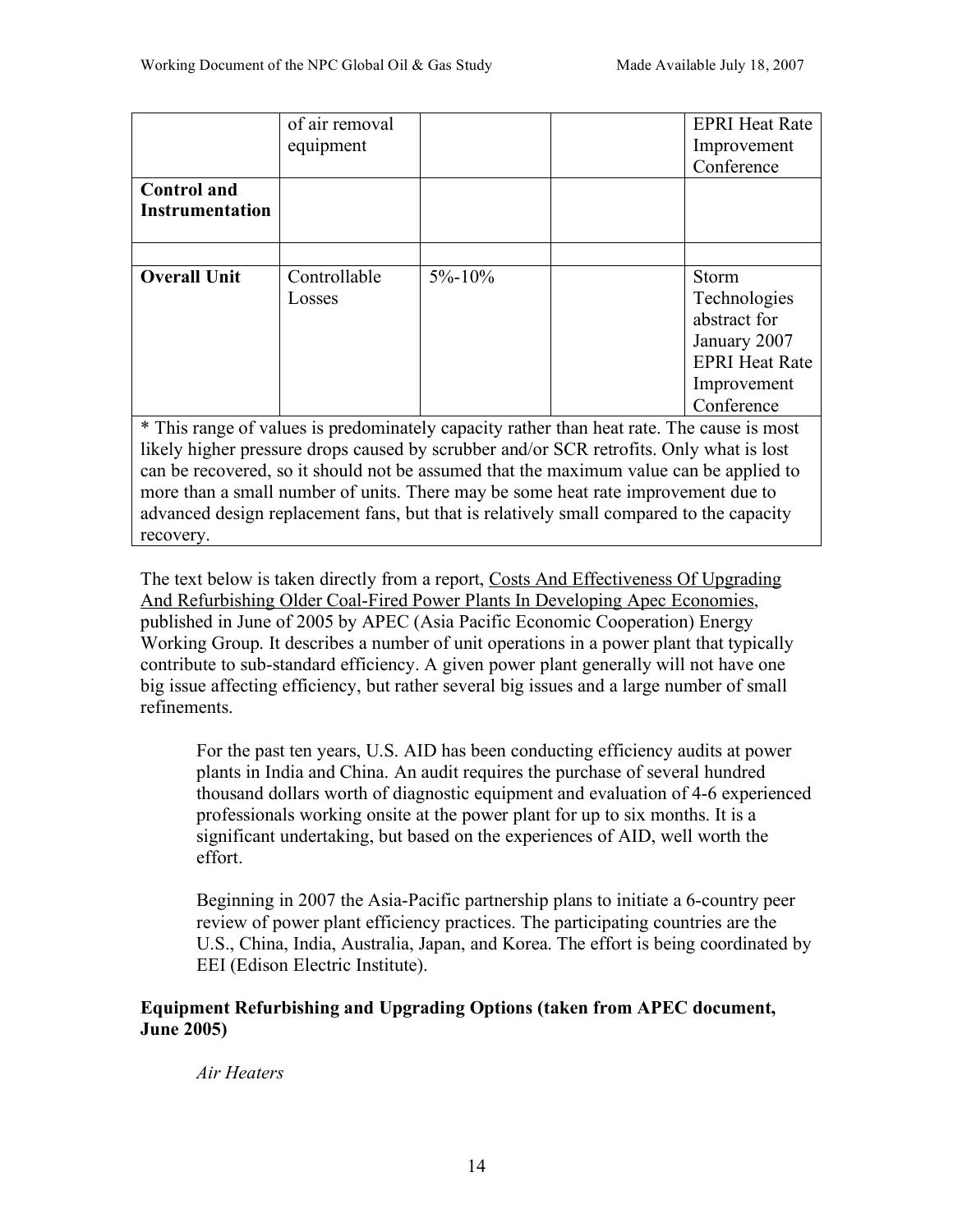|                                                                                         | of air removal                                                                            |              |  | <b>EPRI Heat Rate</b> |
|-----------------------------------------------------------------------------------------|-------------------------------------------------------------------------------------------|--------------|--|-----------------------|
|                                                                                         | equipment                                                                                 |              |  | Improvement           |
|                                                                                         |                                                                                           |              |  | Conference            |
| <b>Control</b> and                                                                      |                                                                                           |              |  |                       |
| <b>Instrumentation</b>                                                                  |                                                                                           |              |  |                       |
|                                                                                         |                                                                                           |              |  |                       |
|                                                                                         |                                                                                           |              |  |                       |
| <b>Overall Unit</b>                                                                     | Controllable                                                                              | $5\% - 10\%$ |  | <b>Storm</b>          |
|                                                                                         | Losses                                                                                    |              |  | Technologies          |
|                                                                                         |                                                                                           |              |  | abstract for          |
|                                                                                         |                                                                                           |              |  | January 2007          |
|                                                                                         |                                                                                           |              |  | <b>EPRI Heat Rate</b> |
|                                                                                         |                                                                                           |              |  | Improvement           |
|                                                                                         |                                                                                           |              |  | Conference            |
|                                                                                         | * This range of values is predominately capacity rather than heat rate. The cause is most |              |  |                       |
| likely higher pressure drops caused by scrubber and/or SCR retrofits. Only what is lost |                                                                                           |              |  |                       |

likely higher pressure drops caused by scrubber and/or SCR retrofits. Only what is lost can be recovered, so it should not be assumed that the maximum value can be applied to more than a small number of units. There may be some heat rate improvement due to advanced design replacement fans, but that is relatively small compared to the capacity recovery.

The text below is taken directly from a report, Costs And Effectiveness Of Upgrading And Refurbishing Older Coal-Fired Power Plants In Developing Apec Economies, published in June of 2005 by APEC (Asia Pacific Economic Cooperation) Energy Working Group. It describes a number of unit operations in a power plant that typically contribute to sub-standard efficiency. A given power plant generally will not have one big issue affecting efficiency, but rather several big issues and a large number of small refinements.

For the past ten years, U.S. AID has been conducting efficiency audits at power plants in India and China. An audit requires the purchase of several hundred thousand dollars worth of diagnostic equipment and evaluation of 4-6 experienced professionals working onsite at the power plant for up to six months. It is a significant undertaking, but based on the experiences of AID, well worth the effort.

Beginning in 2007 the Asia-Pacific partnership plans to initiate a 6-country peer review of power plant efficiency practices. The participating countries are the U.S., China, India, Australia, Japan, and Korea. The effort is being coordinated by EEI (Edison Electric Institute).

# **Equipment Refurbishing and Upgrading Options (taken from APEC document, June 2005)**

*Air Heaters*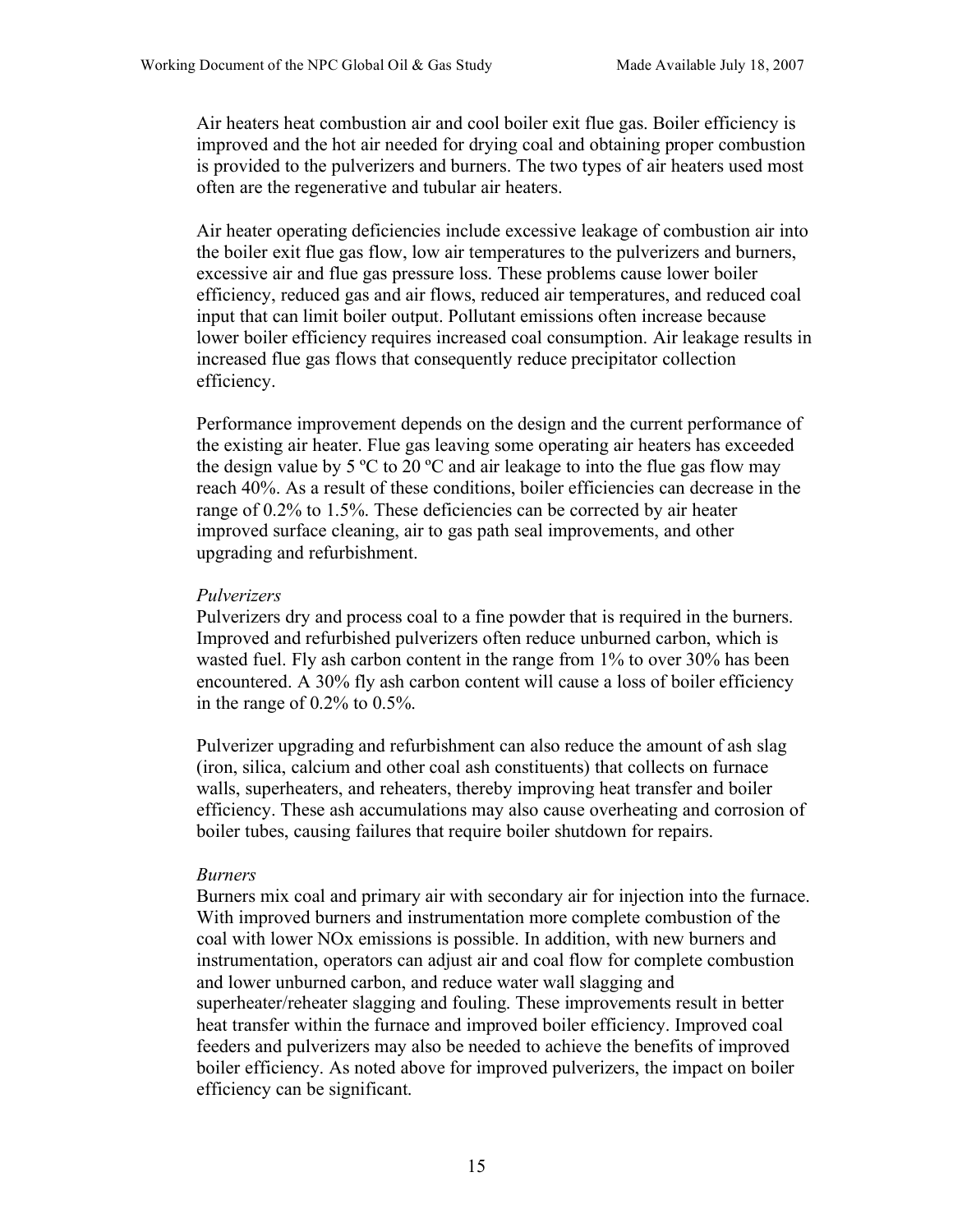Air heaters heat combustion air and cool boiler exit flue gas. Boiler efficiency is improved and the hot air needed for drying coal and obtaining proper combustion is provided to the pulverizers and burners. The two types of air heaters used most often are the regenerative and tubular air heaters.

Air heater operating deficiencies include excessive leakage of combustion air into the boiler exit flue gas flow, low air temperatures to the pulverizers and burners, excessive air and flue gas pressure loss. These problems cause lower boiler efficiency, reduced gas and air flows, reduced air temperatures, and reduced coal input that can limit boiler output. Pollutant emissions often increase because lower boiler efficiency requires increased coal consumption. Air leakage results in increased flue gas flows that consequently reduce precipitator collection efficiency.

Performance improvement depends on the design and the current performance of the existing air heater. Flue gas leaving some operating air heaters has exceeded the design value by 5  $\degree$ C to 20  $\degree$ C and air leakage to into the flue gas flow may reach 40%. As a result of these conditions, boiler efficiencies can decrease in the range of 0.2% to 1.5%. These deficiencies can be corrected by air heater improved surface cleaning, air to gas path seal improvements, and other upgrading and refurbishment.

#### *Pulverizers*

Pulverizers dry and process coal to a fine powder that is required in the burners. Improved and refurbished pulverizers often reduce unburned carbon, which is wasted fuel. Fly ash carbon content in the range from 1% to over 30% has been encountered. A 30% fly ash carbon content will cause a loss of boiler efficiency in the range of 0.2% to 0.5%.

Pulverizer upgrading and refurbishment can also reduce the amount of ash slag (iron, silica, calcium and other coal ash constituents) that collects on furnace walls, superheaters, and reheaters, thereby improving heat transfer and boiler efficiency. These ash accumulations may also cause overheating and corrosion of boiler tubes, causing failures that require boiler shutdown for repairs.

#### *Burners*

Burners mix coal and primary air with secondary air for injection into the furnace. With improved burners and instrumentation more complete combustion of the coal with lower NOx emissions is possible. In addition, with new burners and instrumentation, operators can adjust air and coal flow for complete combustion and lower unburned carbon, and reduce water wall slagging and superheater/reheater slagging and fouling. These improvements result in better heat transfer within the furnace and improved boiler efficiency. Improved coal feeders and pulverizers may also be needed to achieve the benefits of improved boiler efficiency. As noted above for improved pulverizers, the impact on boiler efficiency can be significant.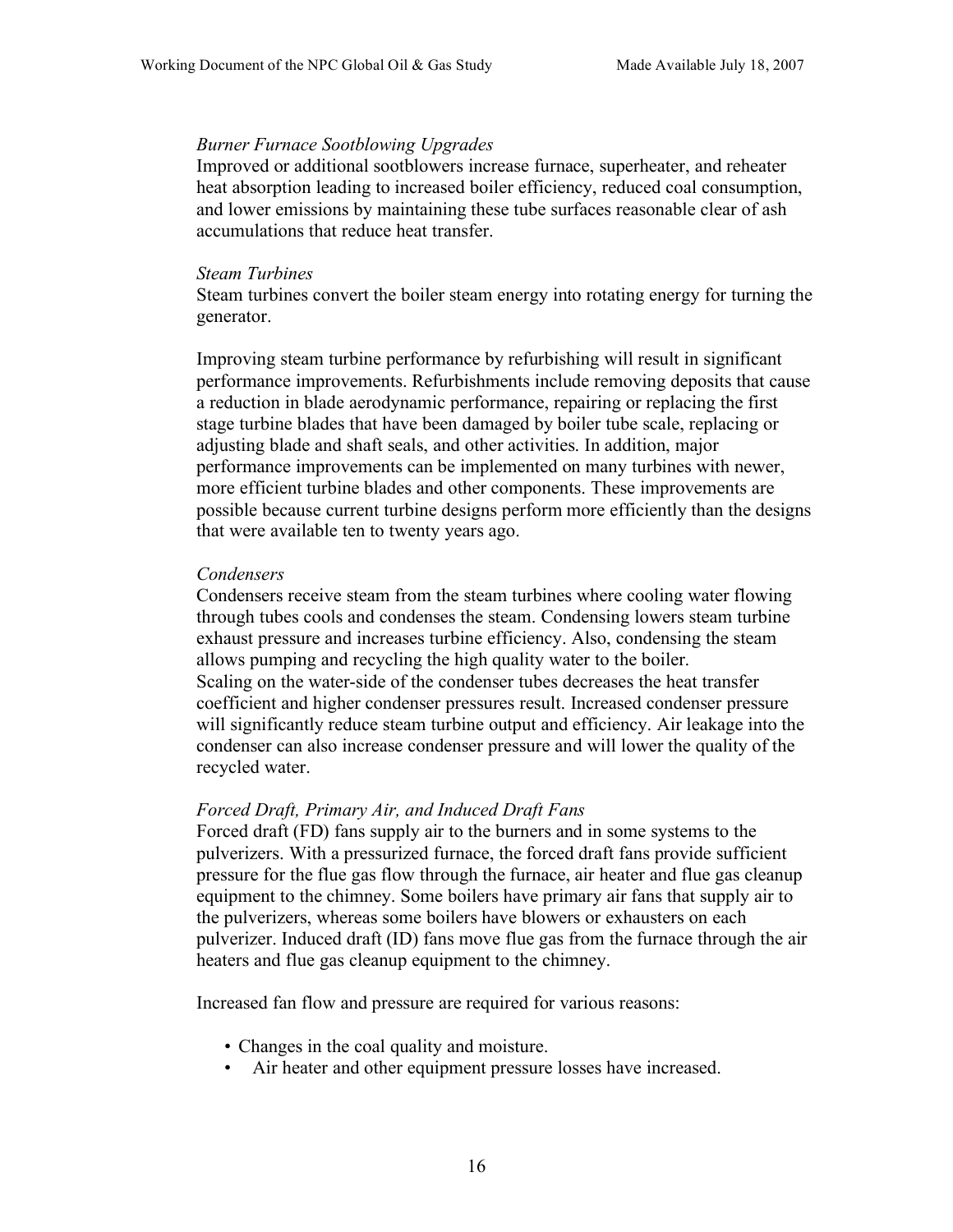#### *Burner Furnace Sootblowing Upgrades*

Improved or additional sootblowers increase furnace, superheater, and reheater heat absorption leading to increased boiler efficiency, reduced coal consumption, and lower emissions by maintaining these tube surfaces reasonable clear of ash accumulations that reduce heat transfer.

#### *Steam Turbines*

Steam turbines convert the boiler steam energy into rotating energy for turning the generator.

Improving steam turbine performance by refurbishing will result in significant performance improvements. Refurbishments include removing deposits that cause a reduction in blade aerodynamic performance, repairing or replacing the first stage turbine blades that have been damaged by boiler tube scale, replacing or adjusting blade and shaft seals, and other activities. In addition, major performance improvements can be implemented on many turbines with newer, more efficient turbine blades and other components. These improvements are possible because current turbine designs perform more efficiently than the designs that were available ten to twenty years ago.

#### *Condensers*

Condensers receive steam from the steam turbines where cooling water flowing through tubes cools and condenses the steam. Condensing lowers steam turbine exhaust pressure and increases turbine efficiency. Also, condensing the steam allows pumping and recycling the high quality water to the boiler. Scaling on the water-side of the condenser tubes decreases the heat transfer coefficient and higher condenser pressures result. Increased condenser pressure will significantly reduce steam turbine output and efficiency. Air leakage into the condenser can also increase condenser pressure and will lower the quality of the recycled water.

#### *Forced Draft, Primary Air, and Induced Draft Fans*

Forced draft (FD) fans supply air to the burners and in some systems to the pulverizers. With a pressurized furnace, the forced draft fans provide sufficient pressure for the flue gas flow through the furnace, air heater and flue gas cleanup equipment to the chimney. Some boilers have primary air fans that supply air to the pulverizers, whereas some boilers have blowers or exhausters on each pulverizer. Induced draft (ID) fans move flue gas from the furnace through the air heaters and flue gas cleanup equipment to the chimney.

Increased fan flow and pressure are required for various reasons:

- Changes in the coal quality and moisture.
- Air heater and other equipment pressure losses have increased.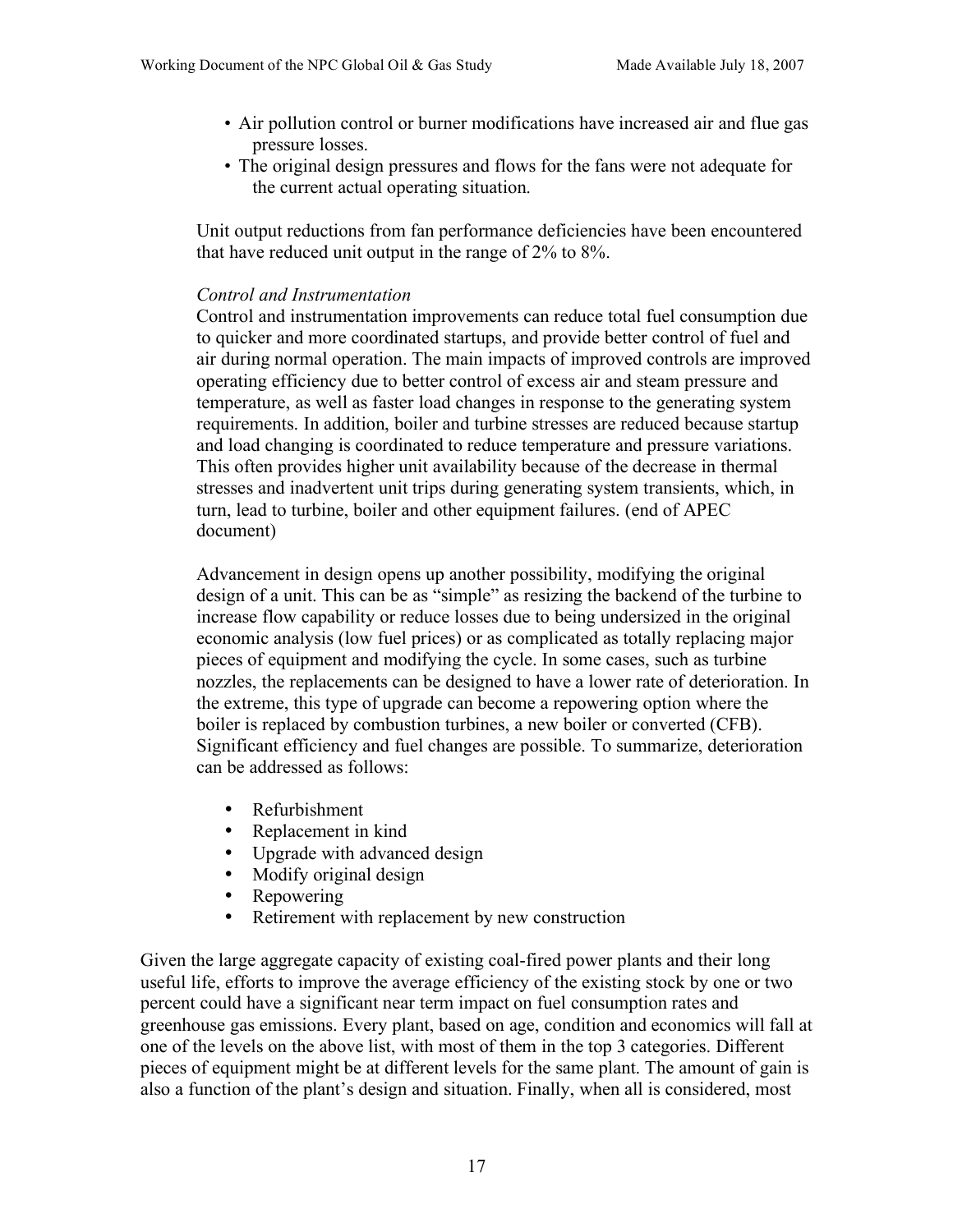- Air pollution control or burner modifications have increased air and flue gas pressure losses.
- The original design pressures and flows for the fans were not adequate for the current actual operating situation.

Unit output reductions from fan performance deficiencies have been encountered that have reduced unit output in the range of 2% to 8%.

#### *Control and Instrumentation*

Control and instrumentation improvements can reduce total fuel consumption due to quicker and more coordinated startups, and provide better control of fuel and air during normal operation. The main impacts of improved controls are improved operating efficiency due to better control of excess air and steam pressure and temperature, as well as faster load changes in response to the generating system requirements. In addition, boiler and turbine stresses are reduced because startup and load changing is coordinated to reduce temperature and pressure variations. This often provides higher unit availability because of the decrease in thermal stresses and inadvertent unit trips during generating system transients, which, in turn, lead to turbine, boiler and other equipment failures. (end of APEC document)

Advancement in design opens up another possibility, modifying the original design of a unit. This can be as "simple" as resizing the backend of the turbine to increase flow capability or reduce losses due to being undersized in the original economic analysis (low fuel prices) or as complicated as totally replacing major pieces of equipment and modifying the cycle. In some cases, such as turbine nozzles, the replacements can be designed to have a lower rate of deterioration. In the extreme, this type of upgrade can become a repowering option where the boiler is replaced by combustion turbines, a new boiler or converted (CFB). Significant efficiency and fuel changes are possible. To summarize, deterioration can be addressed as follows:

- Refurbishment
- Replacement in kind
- Upgrade with advanced design<br>• Modify original design
- Modify original design<br>• Renowering
- Repowering
- Retirement with replacement by new construction

Given the large aggregate capacity of existing coal-fired power plants and their long useful life, efforts to improve the average efficiency of the existing stock by one or two percent could have a significant near term impact on fuel consumption rates and greenhouse gas emissions. Every plant, based on age, condition and economics will fall at one of the levels on the above list, with most of them in the top 3 categories. Different pieces of equipment might be at different levels for the same plant. The amount of gain is also a function of the plant's design and situation. Finally, when all is considered, most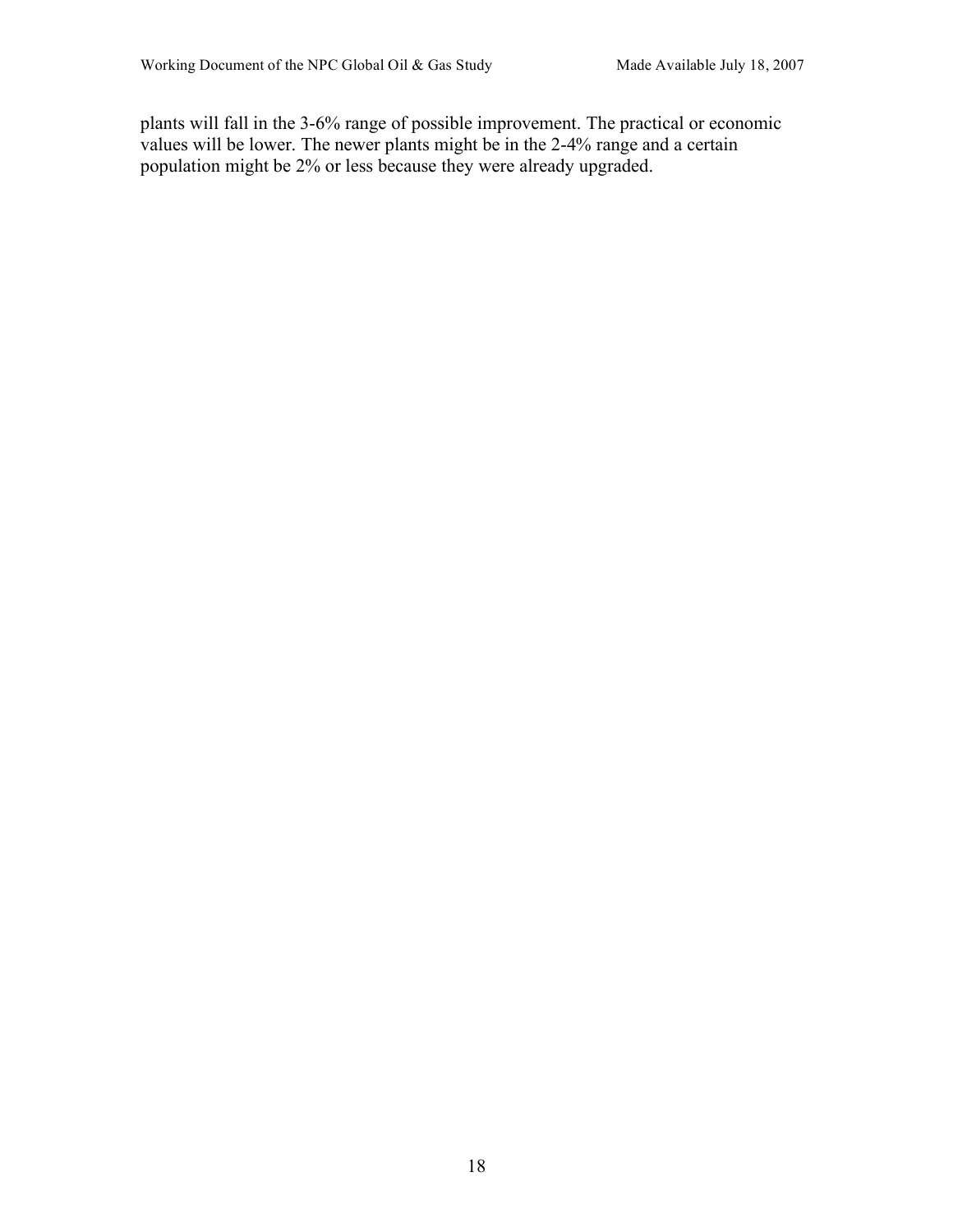plants will fall in the 3-6% range of possible improvement. The practical or economic values will be lower. The newer plants might be in the 2-4% range and a certain population might be 2% or less because they were already upgraded.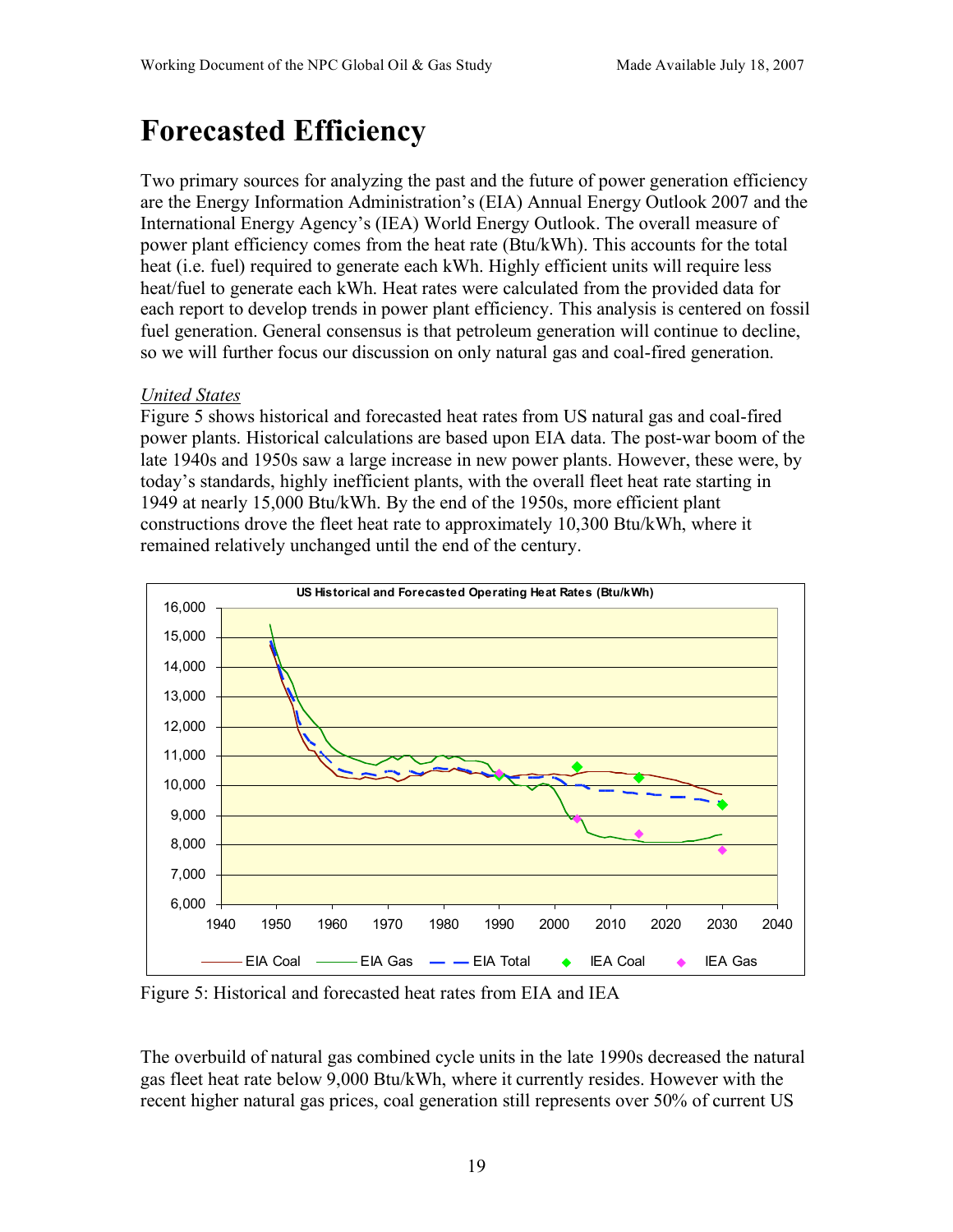# **Forecasted Efficiency**

Two primary sources for analyzing the past and the future of power generation efficiency are the Energy Information Administration's (EIA) Annual Energy Outlook 2007 and the International Energy Agency's (IEA) World Energy Outlook. The overall measure of power plant efficiency comes from the heat rate (Btu/kWh). This accounts for the total heat (i.e. fuel) required to generate each kWh. Highly efficient units will require less heat/fuel to generate each kWh. Heat rates were calculated from the provided data for each report to develop trends in power plant efficiency. This analysis is centered on fossil fuel generation. General consensus is that petroleum generation will continue to decline, so we will further focus our discussion on only natural gas and coal-fired generation.

## *United States*

Figure 5 shows historical and forecasted heat rates from US natural gas and coal-fired power plants. Historical calculations are based upon EIA data. The post-war boom of the late 1940s and 1950s saw a large increase in new power plants. However, these were, by today's standards, highly inefficient plants, with the overall fleet heat rate starting in 1949 at nearly 15,000 Btu/kWh. By the end of the 1950s, more efficient plant constructions drove the fleet heat rate to approximately 10,300 Btu/kWh, where it remained relatively unchanged until the end of the century.



Figure 5: Historical and forecasted heat rates from EIA and IEA

The overbuild of natural gas combined cycle units in the late 1990s decreased the natural gas fleet heat rate below 9,000 Btu/kWh, where it currently resides. However with the recent higher natural gas prices, coal generation still represents over 50% of current US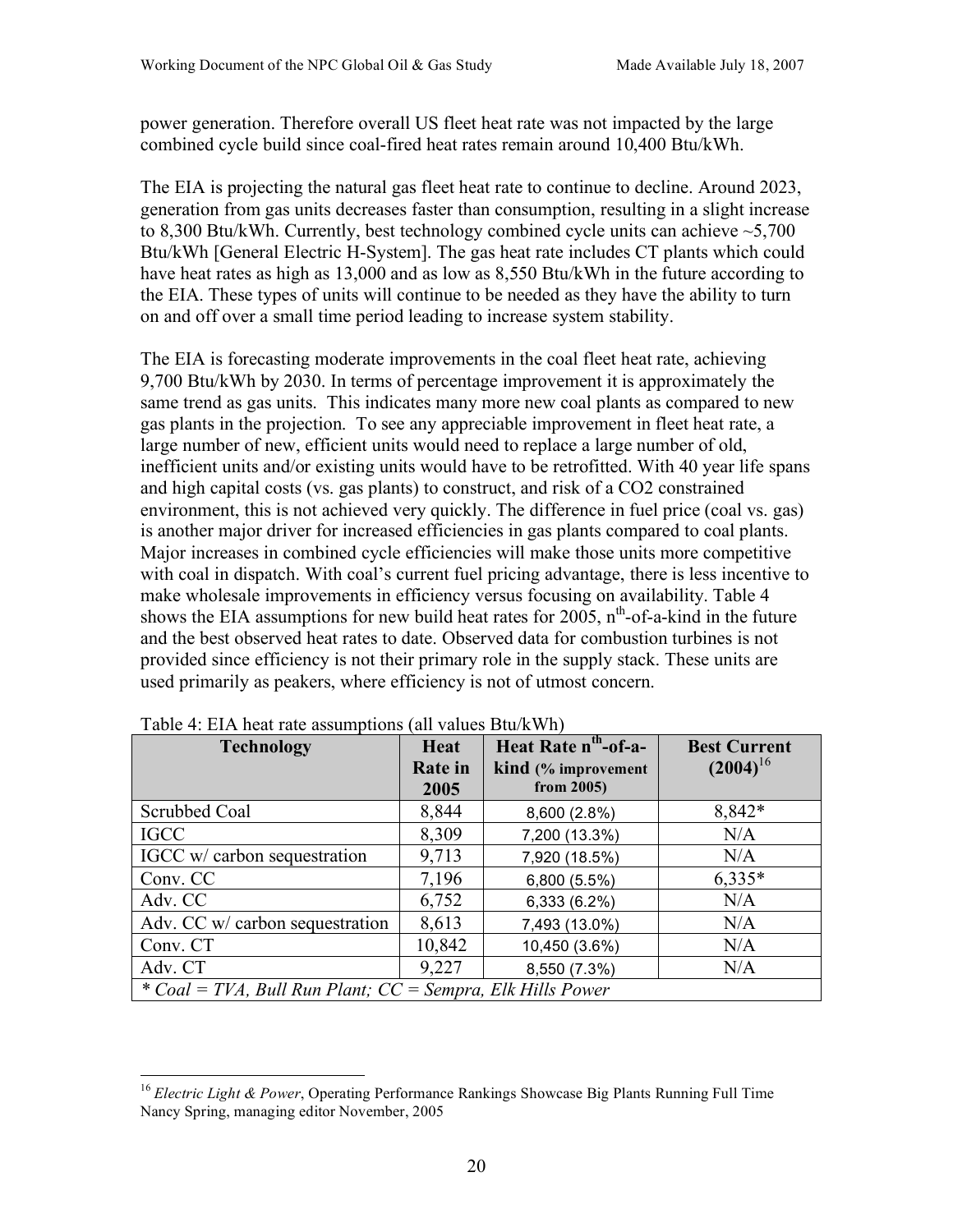power generation. Therefore overall US fleet heat rate was not impacted by the large combined cycle build since coal-fired heat rates remain around 10,400 Btu/kWh.

The EIA is projecting the natural gas fleet heat rate to continue to decline. Around 2023, generation from gas units decreases faster than consumption, resulting in a slight increase to 8,300 Btu/kWh. Currently, best technology combined cycle units can achieve ~5,700 Btu/kWh [General Electric H-System]. The gas heat rate includes CT plants which could have heat rates as high as 13,000 and as low as 8,550 Btu/kWh in the future according to the EIA. These types of units will continue to be needed as they have the ability to turn on and off over a small time period leading to increase system stability.

The EIA is forecasting moderate improvements in the coal fleet heat rate, achieving 9,700 Btu/kWh by 2030. In terms of percentage improvement it is approximately the same trend as gas units. This indicates many more new coal plants as compared to new gas plants in the projection. To see any appreciable improvement in fleet heat rate, a large number of new, efficient units would need to replace a large number of old, inefficient units and/or existing units would have to be retrofitted. With 40 year life spans and high capital costs (vs. gas plants) to construct, and risk of a CO2 constrained environment, this is not achieved very quickly. The difference in fuel price (coal vs. gas) is another major driver for increased efficiencies in gas plants compared to coal plants. Major increases in combined cycle efficiencies will make those units more competitive with coal in dispatch. With coal's current fuel pricing advantage, there is less incentive to make wholesale improvements in efficiency versus focusing on availability. Table 4 shows the EIA assumptions for new build heat rates for 2005,  $n<sup>th</sup>$ -of-a-kind in the future and the best observed heat rates to date. Observed data for combustion turbines is not provided since efficiency is not their primary role in the supply stack. These units are used primarily as peakers, where efficiency is not of utmost concern.

| <b>Technology</b>                                            | Heat<br><b>Rate</b> in | Heat Rate n <sup>th</sup> -of-a-<br>kind (% improvement | <b>Best Current</b><br>$(2004)^{16}$ |
|--------------------------------------------------------------|------------------------|---------------------------------------------------------|--------------------------------------|
|                                                              | 2005                   | from $2005$ )                                           |                                      |
| Scrubbed Coal                                                | 8,844                  | 8,600 (2.8%)                                            | 8,842*                               |
| <b>IGCC</b>                                                  | 8,309                  | 7,200 (13.3%)                                           | N/A                                  |
| IGCC w/ carbon sequestration                                 | 9,713                  | 7,920 (18.5%)                                           | N/A                                  |
| Conv. CC                                                     | 7,196                  | 6,800 (5.5%)                                            | $6,335*$                             |
| Adv. CC                                                      | 6,752                  | 6,333 (6.2%)                                            | N/A                                  |
| Adv. CC w/ carbon sequestration                              | 8,613                  | 7,493 (13.0%)                                           | N/A                                  |
| Conv. CT                                                     | 10,842                 | 10,450 (3.6%)                                           | N/A                                  |
| Adv. CT                                                      | 9,227                  | 8,550 (7.3%)                                            | N/A                                  |
| * Coal = TVA, Bull Run Plant; $CC =$ Sempra, Elk Hills Power |                        |                                                         |                                      |

Table 4: EIA heat rate assumptions (all values Btu/kWh)

<sup>&</sup>lt;sup>16</sup> Electric Light & Power, Operating Performance Rankings Showcase Big Plants Running Full Time Nancy Spring, managing editor November, 2005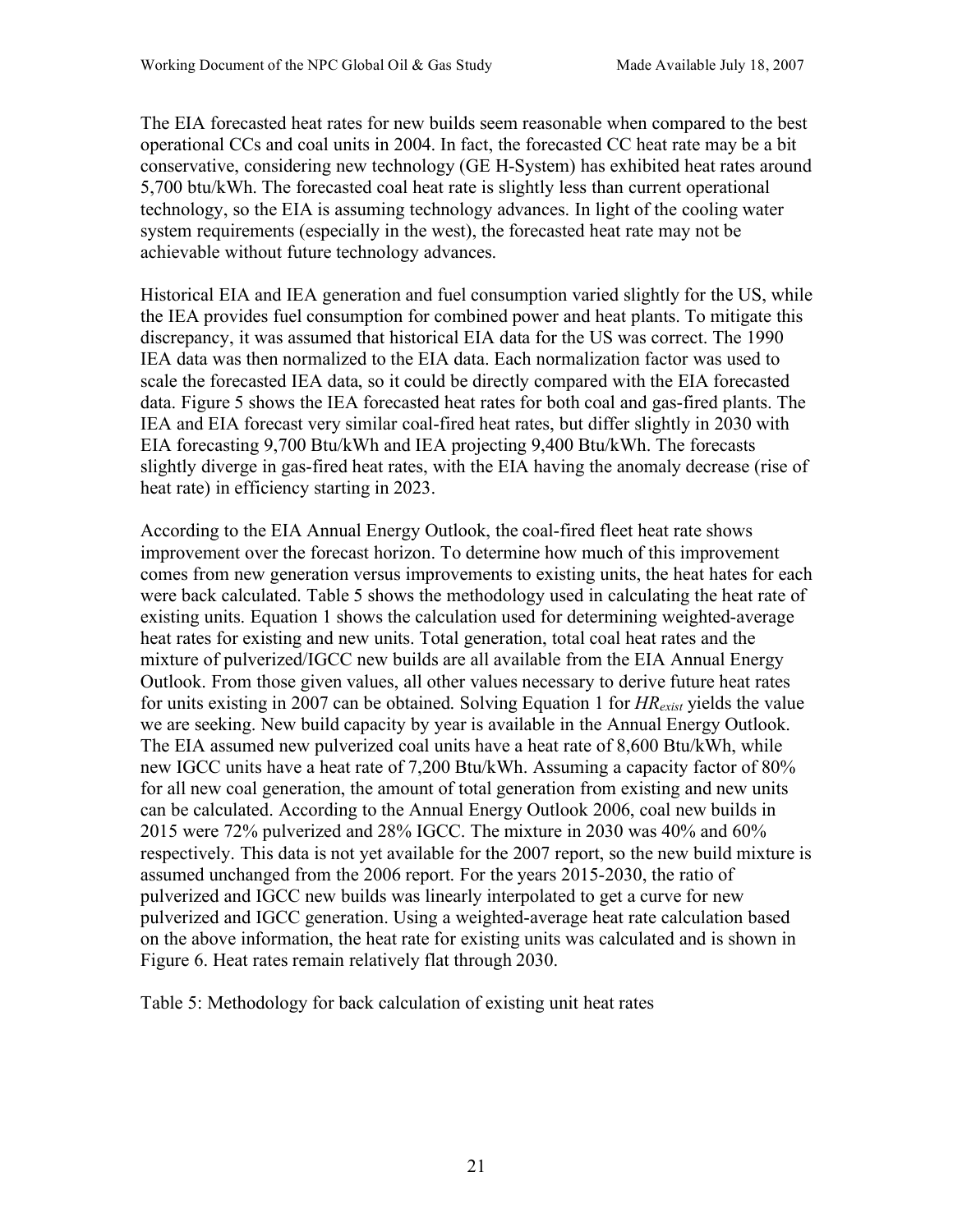The EIA forecasted heat rates for new builds seem reasonable when compared to the best operational CCs and coal units in 2004. In fact, the forecasted CC heat rate may be a bit conservative, considering new technology (GE H-System) has exhibited heat rates around 5,700 btu/kWh. The forecasted coal heat rate is slightly less than current operational technology, so the EIA is assuming technology advances. In light of the cooling water system requirements (especially in the west), the forecasted heat rate may not be achievable without future technology advances.

Historical EIA and IEA generation and fuel consumption varied slightly for the US, while the IEA provides fuel consumption for combined power and heat plants. To mitigate this discrepancy, it was assumed that historical EIA data for the US was correct. The 1990 IEA data was then normalized to the EIA data. Each normalization factor was used to scale the forecasted IEA data, so it could be directly compared with the EIA forecasted data. Figure 5 shows the IEA forecasted heat rates for both coal and gas-fired plants. The IEA and EIA forecast very similar coal-fired heat rates, but differ slightly in 2030 with EIA forecasting 9,700 Btu/kWh and IEA projecting 9,400 Btu/kWh. The forecasts slightly diverge in gas-fired heat rates, with the EIA having the anomaly decrease (rise of heat rate) in efficiency starting in 2023.

According to the EIA Annual Energy Outlook, the coal-fired fleet heat rate shows improvement over the forecast horizon. To determine how much of this improvement comes from new generation versus improvements to existing units, the heat hates for each were back calculated. Table 5 shows the methodology used in calculating the heat rate of existing units. Equation 1 shows the calculation used for determining weighted-average heat rates for existing and new units. Total generation, total coal heat rates and the mixture of pulverized/IGCC new builds are all available from the EIA Annual Energy Outlook. From those given values, all other values necessary to derive future heat rates for units existing in 2007 can be obtained. Solving Equation 1 for *HRexist* yields the value we are seeking. New build capacity by year is available in the Annual Energy Outlook. The EIA assumed new pulverized coal units have a heat rate of 8,600 Btu/kWh, while new IGCC units have a heat rate of 7,200 Btu/kWh. Assuming a capacity factor of 80% for all new coal generation, the amount of total generation from existing and new units can be calculated. According to the Annual Energy Outlook 2006, coal new builds in 2015 were 72% pulverized and 28% IGCC. The mixture in 2030 was 40% and 60% respectively. This data is not yet available for the 2007 report, so the new build mixture is assumed unchanged from the 2006 report. For the years 2015-2030, the ratio of pulverized and IGCC new builds was linearly interpolated to get a curve for new pulverized and IGCC generation. Using a weighted-average heat rate calculation based on the above information, the heat rate for existing units was calculated and is shown in Figure 6. Heat rates remain relatively flat through 2030.

Table 5: Methodology for back calculation of existing unit heat rates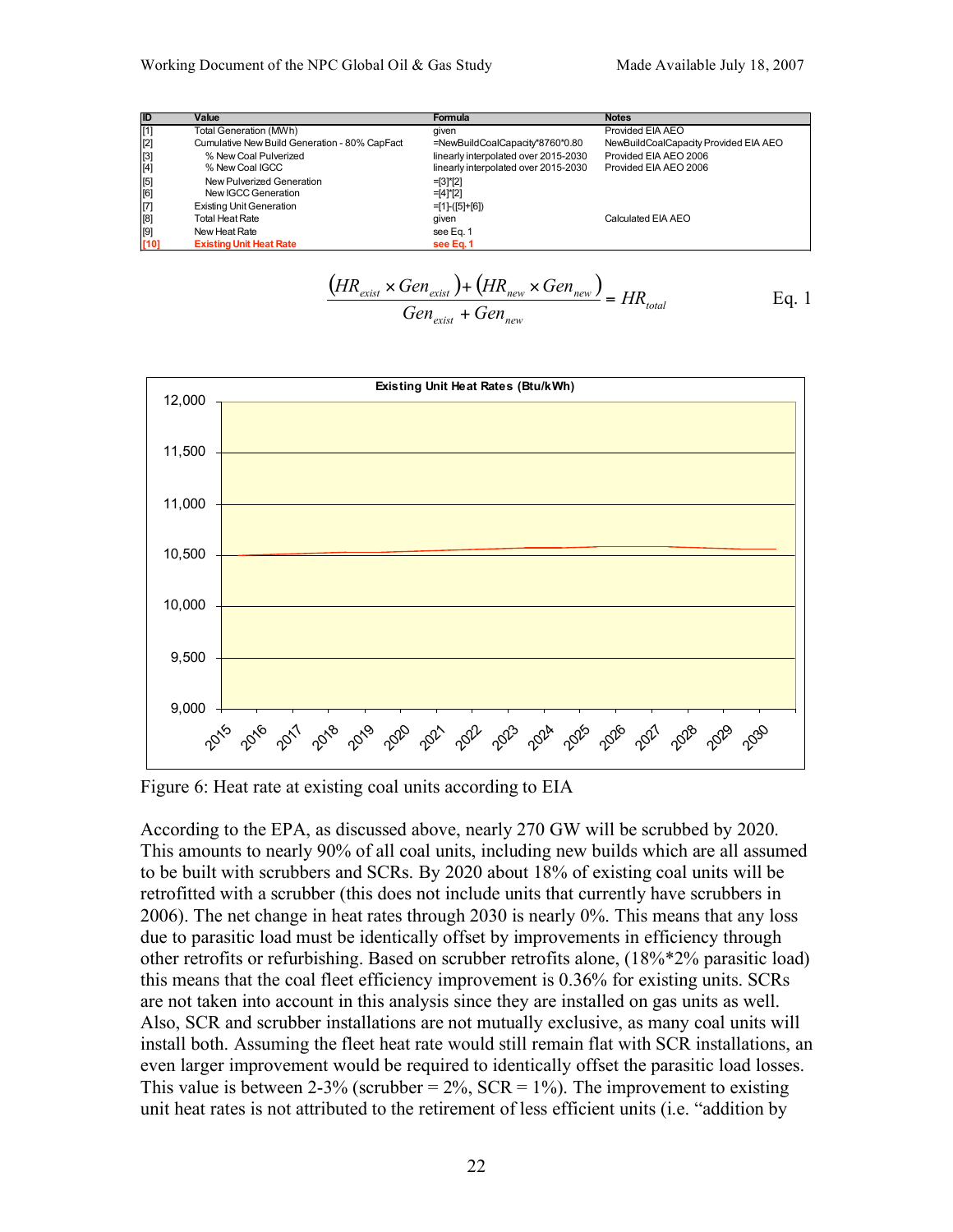| <b>ID</b>                              | Value                                         | Formula                              | <b>Notes</b>                          |
|----------------------------------------|-----------------------------------------------|--------------------------------------|---------------------------------------|
| [1]                                    | Total Generation (MWh)                        | given                                | Provided EIA AEO                      |
| [2]                                    | Cumulative New Build Generation - 80% CapFact | =NewBuildCoalCapacity*8760*0.80      | NewBuildCoalCapacity Provided EIA AEO |
|                                        | % New Coal Pulverized                         | linearly interpolated over 2015-2030 | Provided EIA AEO 2006                 |
| $\begin{bmatrix} 3 \\ 4 \end{bmatrix}$ | % New Coal IGCC                               | linearly interpolated over 2015-2030 | Provided EIA AEO 2006                 |
| [5]                                    | New Pulverized Generation                     | $=$ [3]*[2]                          |                                       |
| [6]                                    | New IGCC Generation                           | $=$ [4]*[2]                          |                                       |
| $\vert$ [7]                            | <b>Existing Unit Generation</b>               | $=$ [1]-([5]+[6])                    |                                       |
| [8]                                    | <b>Total Heat Rate</b>                        | given                                | Calculated EIA AEO                    |
| [9]                                    | New Heat Rate                                 | see Eq. 1                            |                                       |
| [10]                                   | <b>Existing Unit Heat Rate</b>                | see Eq. 1                            |                                       |

$$
\frac{\left(HR_{\text{exist}} \times Gen_{\text{exist}}\right) + \left(HR_{\text{new}} \times Gen_{\text{new}}\right)}{Gen_{\text{exist}} + Gen_{\text{new}}} = HR_{\text{total}}
$$
 Eq. 1



Figure 6: Heat rate at existing coal units according to EIA

According to the EPA, as discussed above, nearly 270 GW will be scrubbed by 2020. This amounts to nearly 90% of all coal units, including new builds which are all assumed to be built with scrubbers and SCRs. By 2020 about 18% of existing coal units will be retrofitted with a scrubber (this does not include units that currently have scrubbers in 2006). The net change in heat rates through 2030 is nearly 0%. This means that any loss due to parasitic load must be identically offset by improvements in efficiency through other retrofits or refurbishing. Based on scrubber retrofits alone, (18%\*2% parasitic load) this means that the coal fleet efficiency improvement is 0.36% for existing units. SCRs are not taken into account in this analysis since they are installed on gas units as well. Also, SCR and scrubber installations are not mutually exclusive, as many coal units will install both. Assuming the fleet heat rate would still remain flat with SCR installations, an even larger improvement would be required to identically offset the parasitic load losses. This value is between 2-3% (scrubber =  $2\%$ , SCR =  $1\%$ ). The improvement to existing unit heat rates is not attributed to the retirement of less efficient units (i.e. "addition by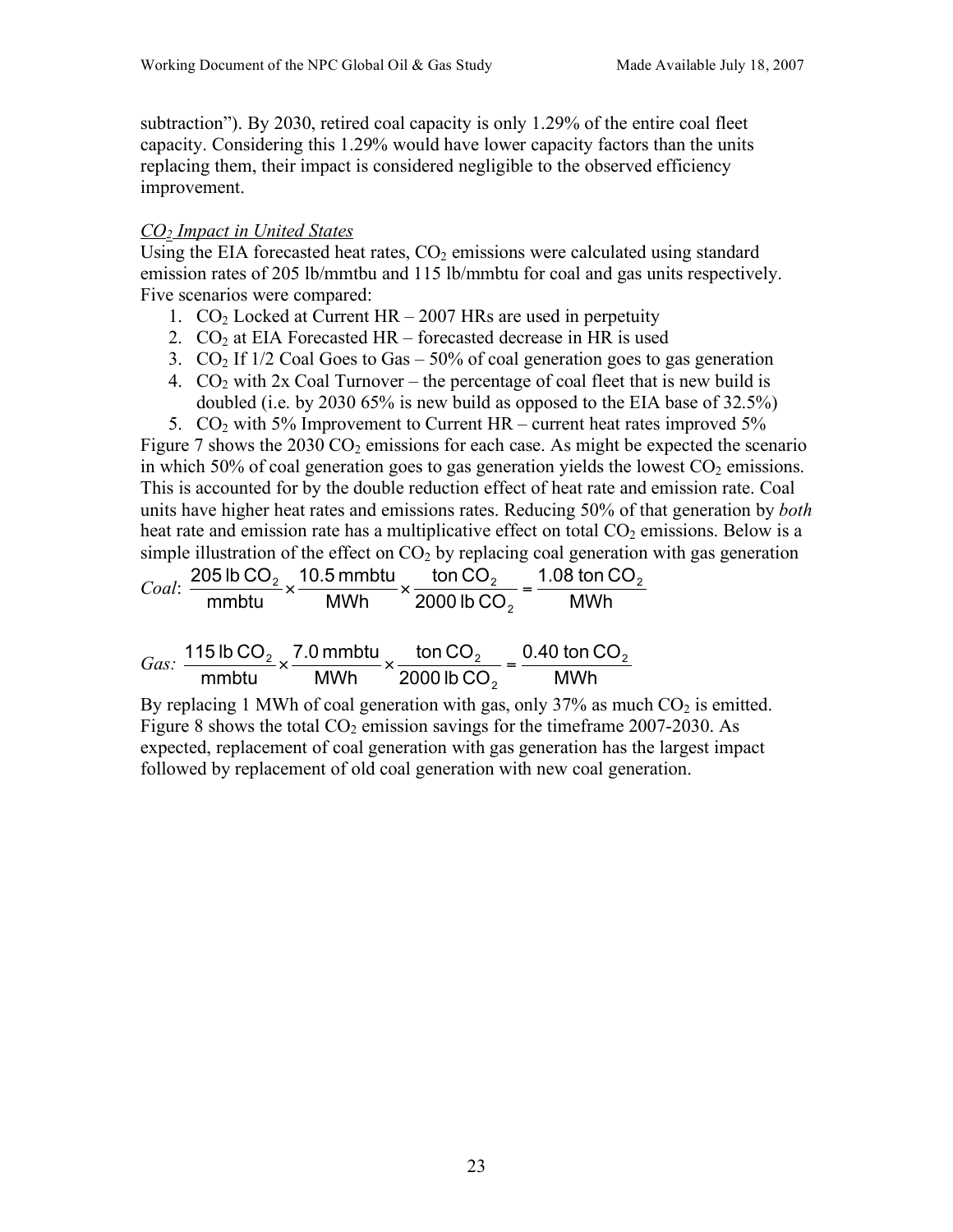subtraction"). By 2030, retired coal capacity is only 1.29% of the entire coal fleet capacity. Considering this 1.29% would have lower capacity factors than the units replacing them, their impact is considered negligible to the observed efficiency improvement.

#### *CO2 Impact in United States*

Using the EIA forecasted heat rates,  $CO<sub>2</sub>$  emissions were calculated using standard emission rates of 205 lb/mmtbu and 115 lb/mmbtu for coal and gas units respectively. Five scenarios were compared:

- 1.  $CO<sub>2</sub>$  Locked at Current HR 2007 HRs are used in perpetuity
- 2.  $CO<sub>2</sub>$  at EIA Forecasted HR forecasted decrease in HR is used
- 3.  $CO<sub>2</sub>$  If 1/2 Coal Goes to Gas 50% of coal generation goes to gas generation
- 4.  $CO<sub>2</sub>$  with 2x Coal Turnover the percentage of coal fleet that is new build is doubled (i.e. by 2030 65% is new build as opposed to the EIA base of 32.5%)

5.  $CO<sub>2</sub>$  with 5% Improvement to Current HR – current heat rates improved 5% Figure 7 shows the  $2030 \text{ CO}_2$  emissions for each case. As might be expected the scenario in which 50% of coal generation goes to gas generation yields the lowest  $CO<sub>2</sub>$  emissions. This is accounted for by the double reduction effect of heat rate and emission rate. Coal units have higher heat rates and emissions rates. Reducing 50% of that generation by *both* heat rate and emission rate has a multiplicative effect on total  $CO<sub>2</sub>$  emissions. Below is a simple illustration of the effect on  $CO<sub>2</sub>$  by replacing coal generation with gas generation

*Coal*: 
$$
\frac{205 \text{ lb CO}_2}{\text{mmbtu}} \times \frac{10.5 \text{ mmbtu}}{\text{MWh}} \times \frac{\text{ton CO}_2}{2000 \text{ lb CO}_2} = \frac{1.08 \text{ ton CO}_2}{\text{MWh}}
$$

|  |           | Gas: $\frac{115 \text{ lb CO}_2}{2} \times \frac{7.0 \text{ mm} \cdot \text{ min CO}_2}{2} \times \frac{\text{ ton CO}_2}{2} = 0.40 \text{ ton CO}_2$ |      |
|--|-----------|-------------------------------------------------------------------------------------------------------------------------------------------------------|------|
|  | mmbtu MWh | $\cdots$ 2000 lb CO <sub>2</sub>                                                                                                                      | MWh. |

By replacing 1 MWh of coal generation with gas, only 37% as much  $CO<sub>2</sub>$  is emitted. Figure 8 shows the total  $CO<sub>2</sub>$  emission savings for the timeframe 2007-2030. As expected, replacement of coal generation with gas generation has the largest impact followed by replacement of old coal generation with new coal generation.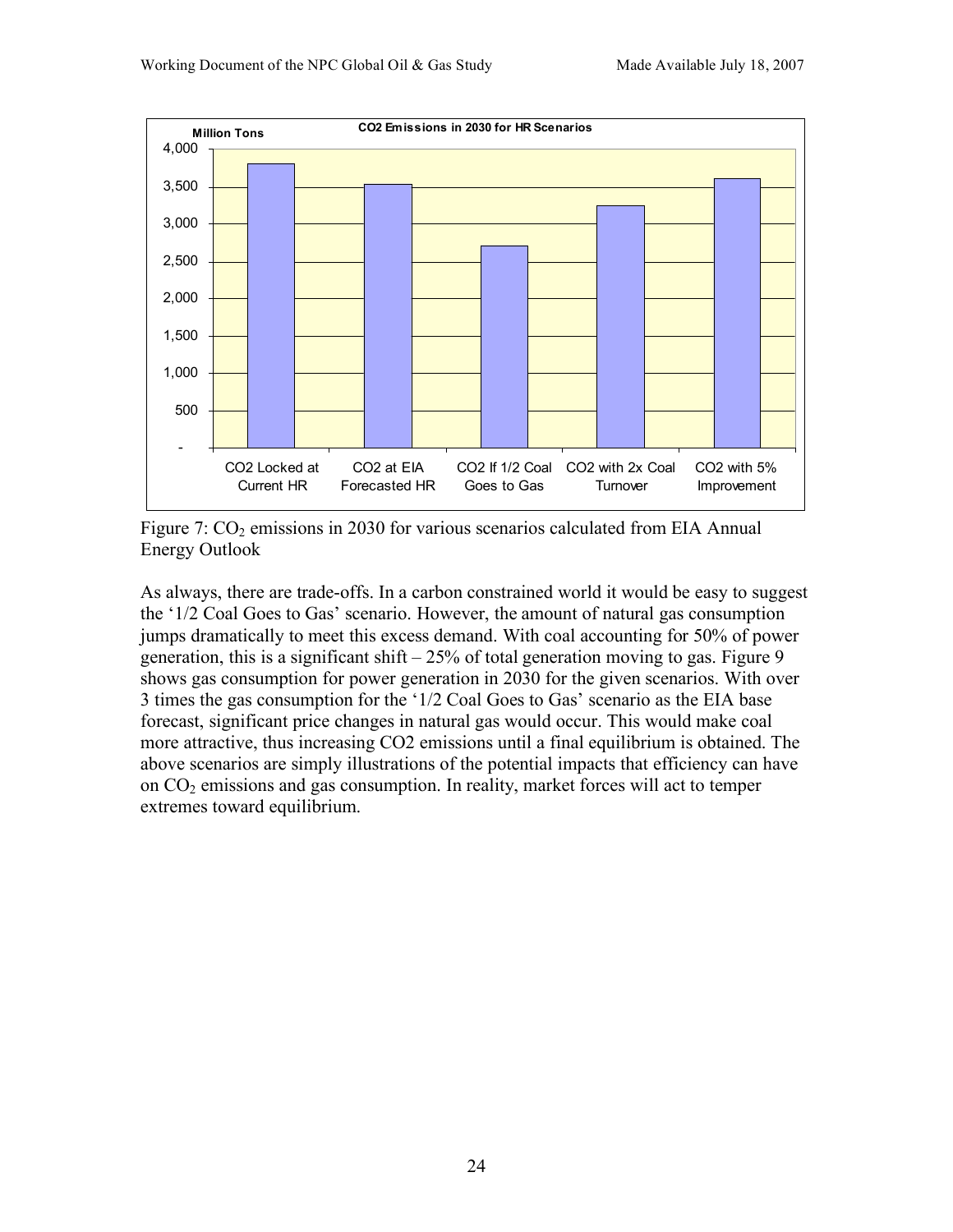



Figure 7:  $CO<sub>2</sub>$  emissions in 2030 for various scenarios calculated from EIA Annual Energy Outlook

As always, there are trade-offs. In a carbon constrained world it would be easy to suggest the '1/2 Coal Goes to Gas' scenario. However, the amount of natural gas consumption jumps dramatically to meet this excess demand. With coal accounting for 50% of power generation, this is a significant shift  $-25%$  of total generation moving to gas. Figure 9 shows gas consumption for power generation in 2030 for the given scenarios. With over 3 times the gas consumption for the '1/2 Coal Goes to Gas' scenario as the EIA base forecast, significant price changes in natural gas would occur. This would make coal more attractive, thus increasing CO2 emissions until a final equilibrium is obtained. The above scenarios are simply illustrations of the potential impacts that efficiency can have on  $CO<sub>2</sub>$  emissions and gas consumption. In reality, market forces will act to temper extremes toward equilibrium.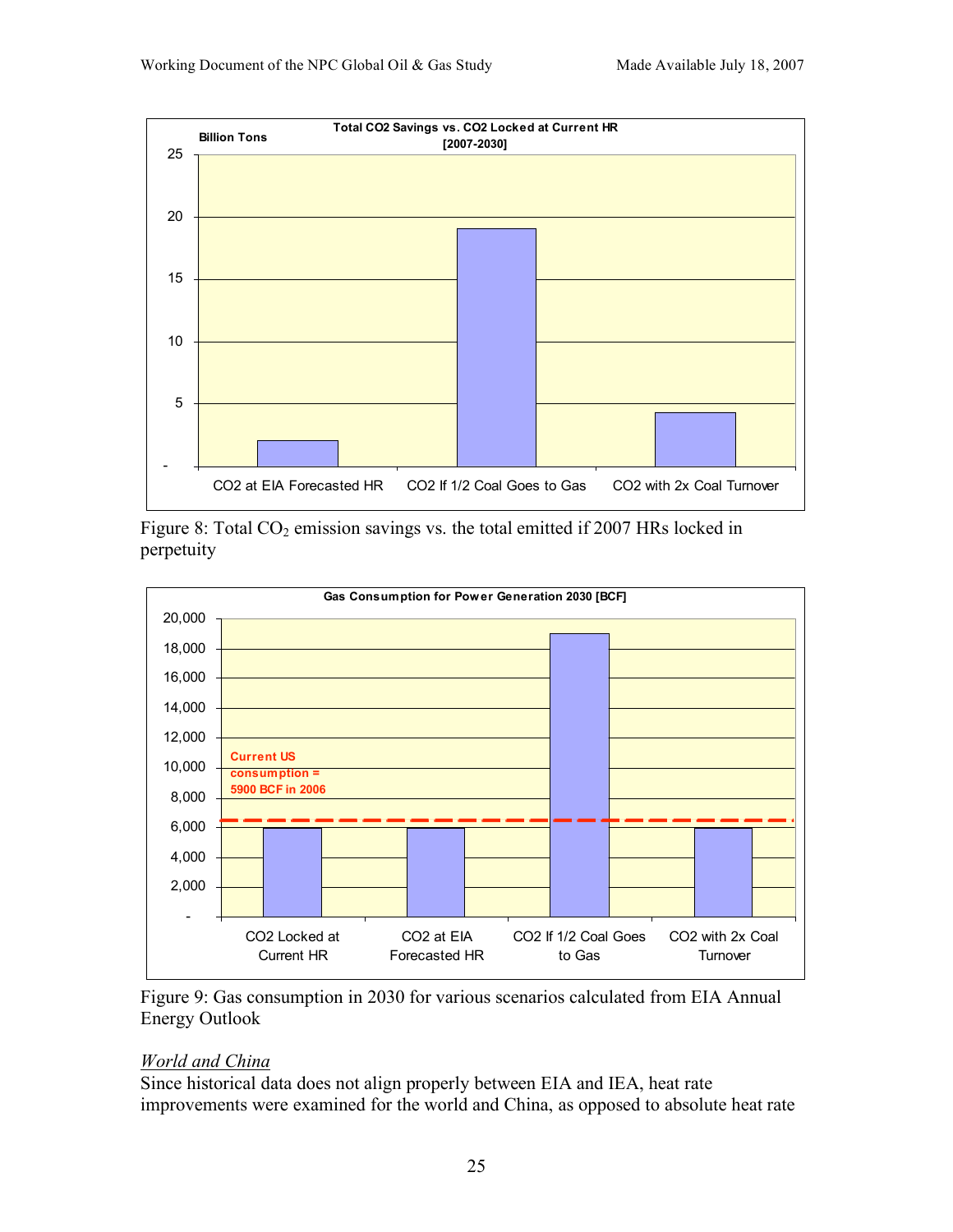

Figure 8: Total  $CO<sub>2</sub>$  emission savings vs. the total emitted if 2007 HRs locked in perpetuity



Figure 9: Gas consumption in 2030 for various scenarios calculated from EIA Annual Energy Outlook

# *World and China*

Since historical data does not align properly between EIA and IEA, heat rate improvements were examined for the world and China, as opposed to absolute heat rate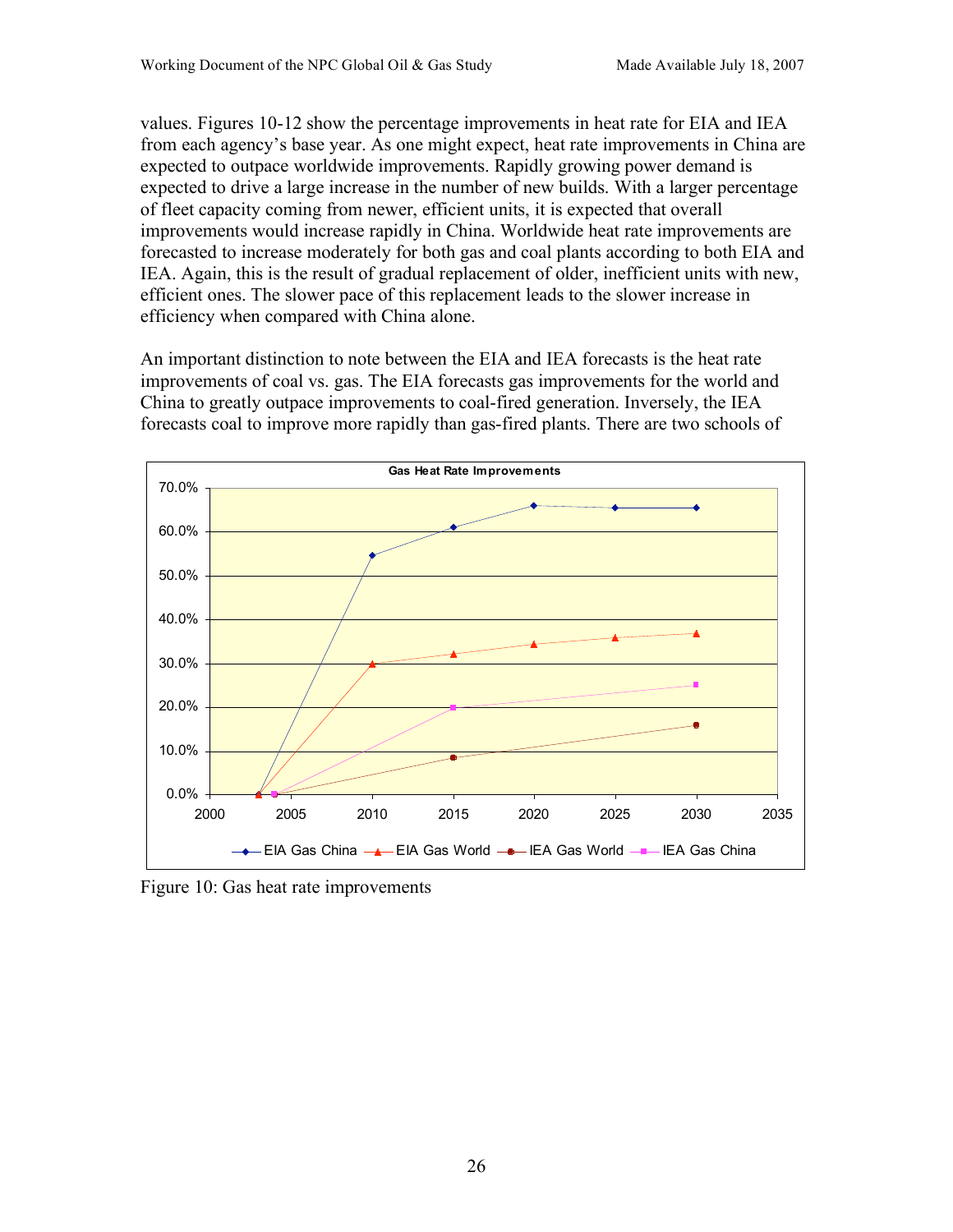values. Figures 10-12 show the percentage improvements in heat rate for EIA and IEA from each agency's base year. As one might expect, heat rate improvements in China are expected to outpace worldwide improvements. Rapidly growing power demand is expected to drive a large increase in the number of new builds. With a larger percentage of fleet capacity coming from newer, efficient units, it is expected that overall improvements would increase rapidly in China. Worldwide heat rate improvements are forecasted to increase moderately for both gas and coal plants according to both EIA and IEA. Again, this is the result of gradual replacement of older, inefficient units with new, efficient ones. The slower pace of this replacement leads to the slower increase in efficiency when compared with China alone.

An important distinction to note between the EIA and IEA forecasts is the heat rate improvements of coal vs. gas. The EIA forecasts gas improvements for the world and China to greatly outpace improvements to coal-fired generation. Inversely, the IEA forecasts coal to improve more rapidly than gas-fired plants. There are two schools of



Figure 10: Gas heat rate improvements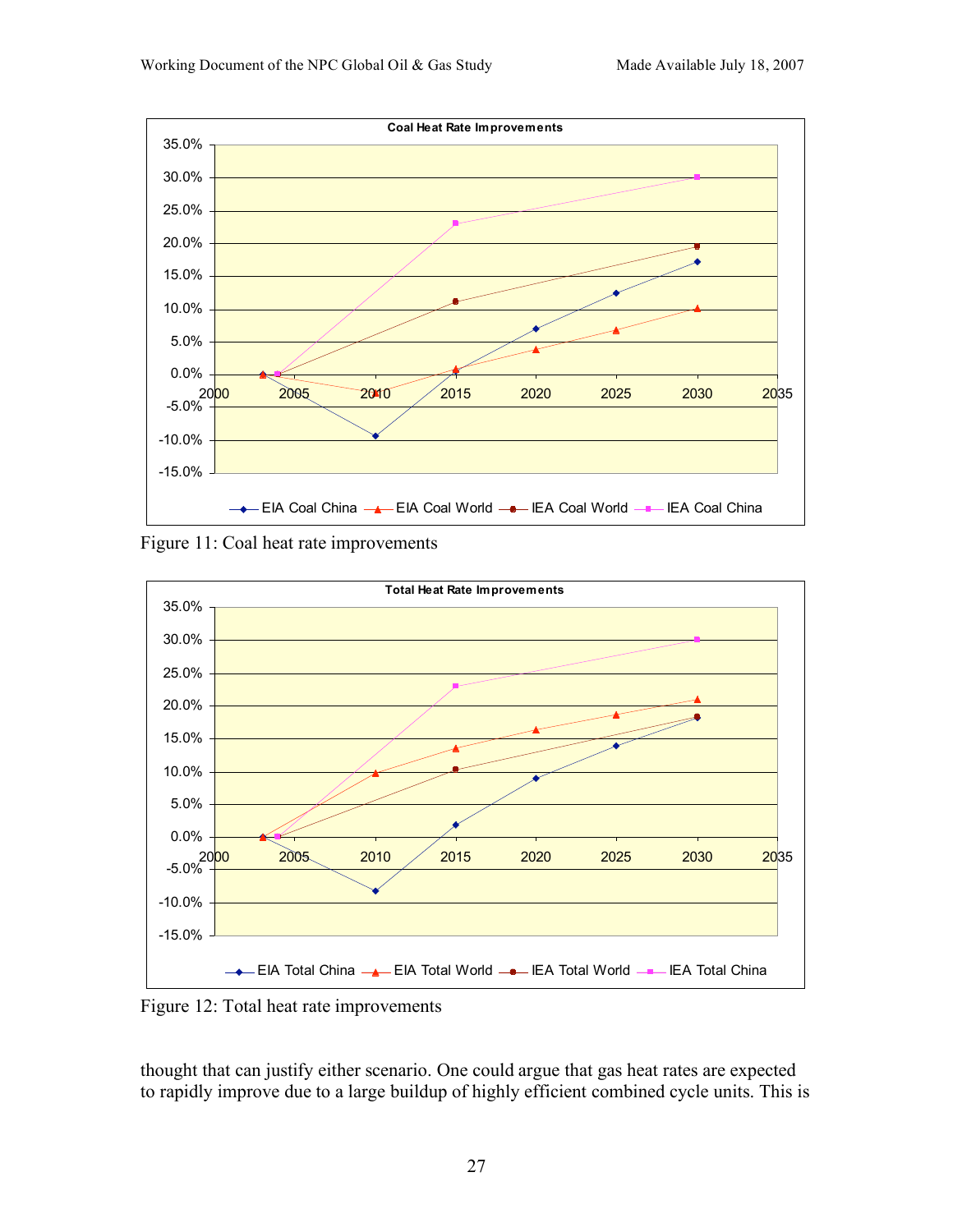

Figure 11: Coal heat rate improvements



Figure 12: Total heat rate improvements

thought that can justify either scenario. One could argue that gas heat rates are expected to rapidly improve due to a large buildup of highly efficient combined cycle units. This is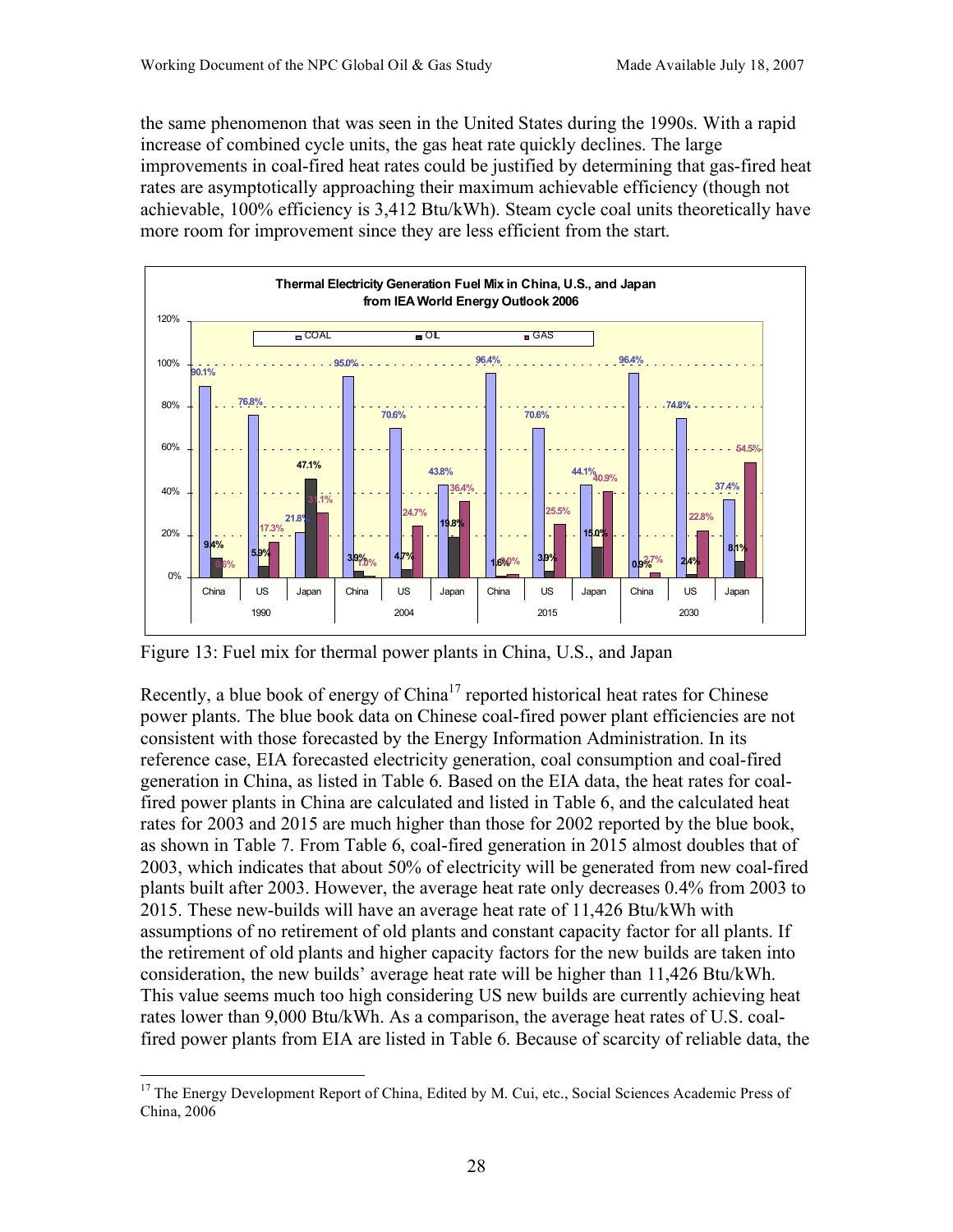the same phenomenon that was seen in the United States during the 1990s. With a rapid increase of combined cycle units, the gas heat rate quickly declines. The large improvements in coal-fired heat rates could be justified by determining that gas-fired heat rates are asymptotically approaching their maximum achievable efficiency (though not achievable, 100% efficiency is 3,412 Btu/kWh). Steam cycle coal units theoretically have more room for improvement since they are less efficient from the start.



Figure 13: Fuel mix for thermal power plants in China, U.S., and Japan

Recently, a blue book of energy of  $China<sup>17</sup>$  reported historical heat rates for Chinese power plants. The blue book data on Chinese coal-fired power plant efficiencies are not consistent with those forecasted by the Energy Information Administration. In its reference case, EIA forecasted electricity generation, coal consumption and coal-fired generation in China, as listed in Table 6. Based on the EIA data, the heat rates for coalfired power plants in China are calculated and listed in Table 6, and the calculated heat rates for 2003 and 2015 are much higher than those for 2002 reported by the blue book, as shown in Table 7. From Table 6, coal-fired generation in 2015 almost doubles that of 2003, which indicates that about 50% of electricity will be generated from new coal-fired plants built after 2003. However, the average heat rate only decreases 0.4% from 2003 to 2015. These new-builds will have an average heat rate of 11,426 Btu/kWh with assumptions of no retirement of old plants and constant capacity factor for all plants. If the retirement of old plants and higher capacity factors for the new builds are taken into consideration, the new builds' average heat rate will be higher than 11,426 Btu/kWh. This value seems much too high considering US new builds are currently achieving heat rates lower than 9,000 Btu/kWh. As a comparison, the average heat rates of U.S. coalfired power plants from EIA are listed in Table 6. Because of scarcity of reliable data, the

<sup>&</sup>lt;sup>17</sup> The Energy Development Report of China, Edited by M. Cui, etc., Social Sciences Academic Press of China, 2006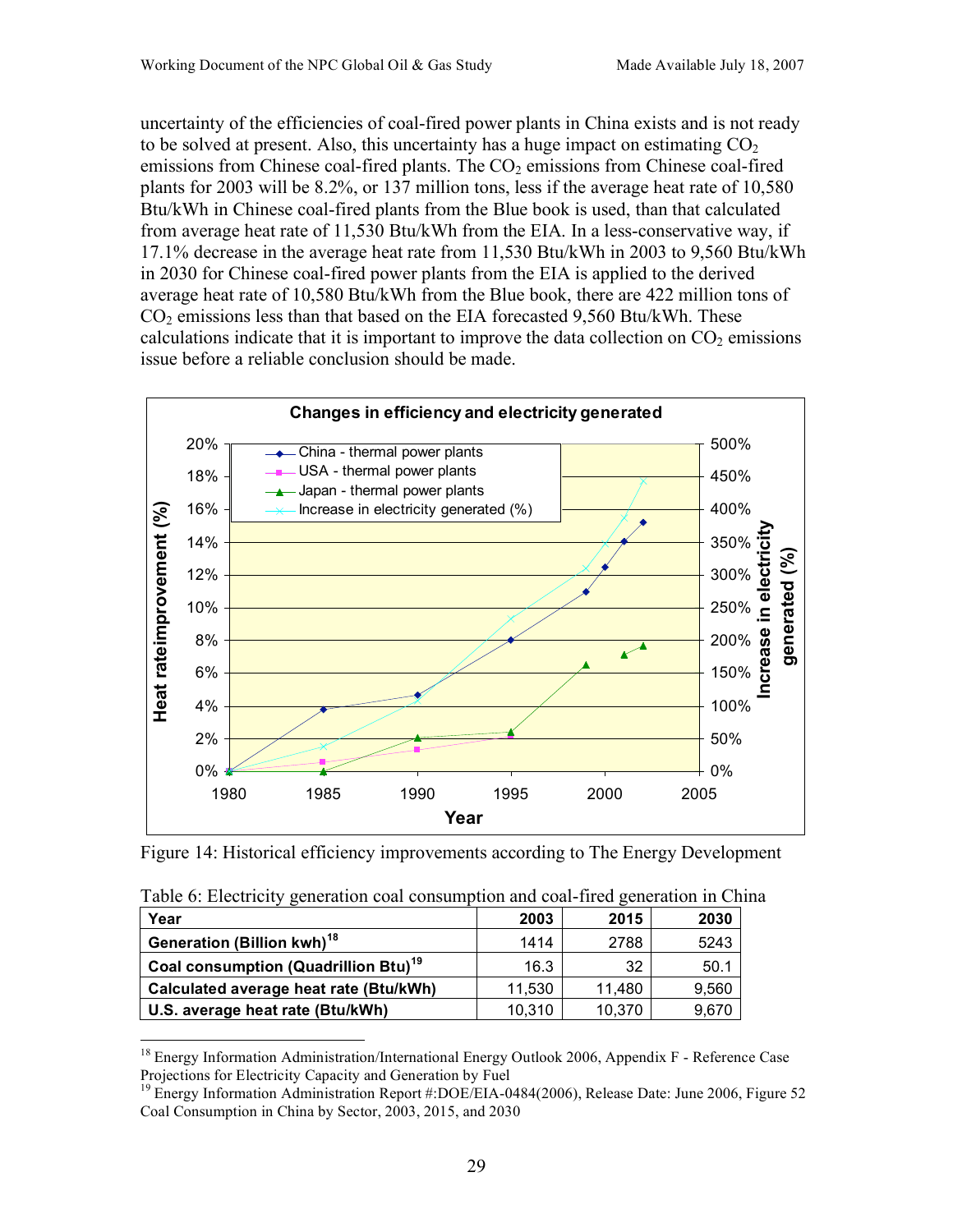uncertainty of the efficiencies of coal-fired power plants in China exists and is not ready to be solved at present. Also, this uncertainty has a huge impact on estimating  $CO<sub>2</sub>$ emissions from Chinese coal-fired plants. The  $CO<sub>2</sub>$  emissions from Chinese coal-fired plants for 2003 will be 8.2%, or 137 million tons, less if the average heat rate of 10,580 Btu/kWh in Chinese coal-fired plants from the Blue book is used, than that calculated from average heat rate of 11,530 Btu/kWh from the EIA. In a less-conservative way, if 17.1% decrease in the average heat rate from 11,530 Btu/kWh in 2003 to 9,560 Btu/kWh in 2030 for Chinese coal-fired power plants from the EIA is applied to the derived average heat rate of 10,580 Btu/kWh from the Blue book, there are 422 million tons of  $CO<sub>2</sub>$  emissions less than that based on the EIA forecasted 9,560 Btu/kWh. These calculations indicate that it is important to improve the data collection on  $CO<sub>2</sub>$  emissions issue before a reliable conclusion should be made.



Figure 14: Historical efficiency improvements according to The Energy Development

| Table 6: Electricity generation coal consumption and coal-fired generation in Chi |        |        |       |
|-----------------------------------------------------------------------------------|--------|--------|-------|
| Year                                                                              | 2003   | 2015   | 2030  |
| Generation (Billion kwh) <sup>18</sup>                                            | 1414   | 2788   | 5243  |
| Coal consumption (Quadrillion Btu) <sup>19</sup>                                  | 16.3   | 32     | 50.1  |
| Calculated average heat rate (Btu/kWh)                                            | 11,530 | 11,480 | 9,560 |
| U.S. average heat rate (Btu/kWh)                                                  | 10,310 | 10.370 | 9,670 |

Table 6: Electricity generation coal consumption and coal-fired generation in China

<sup>&</sup>lt;sup>18</sup> Energy Information Administration/International Energy Outlook 2006, Appendix F - Reference Case Projections for Electricity Capacity and Generation by Fuel

<sup>&</sup>lt;sup>19</sup> Energy Information Administration Report #:DOE/EIA-0484(2006), Release Date: June 2006, Figure 52 Coal Consumption in China by Sector, 2003, 2015, and 2030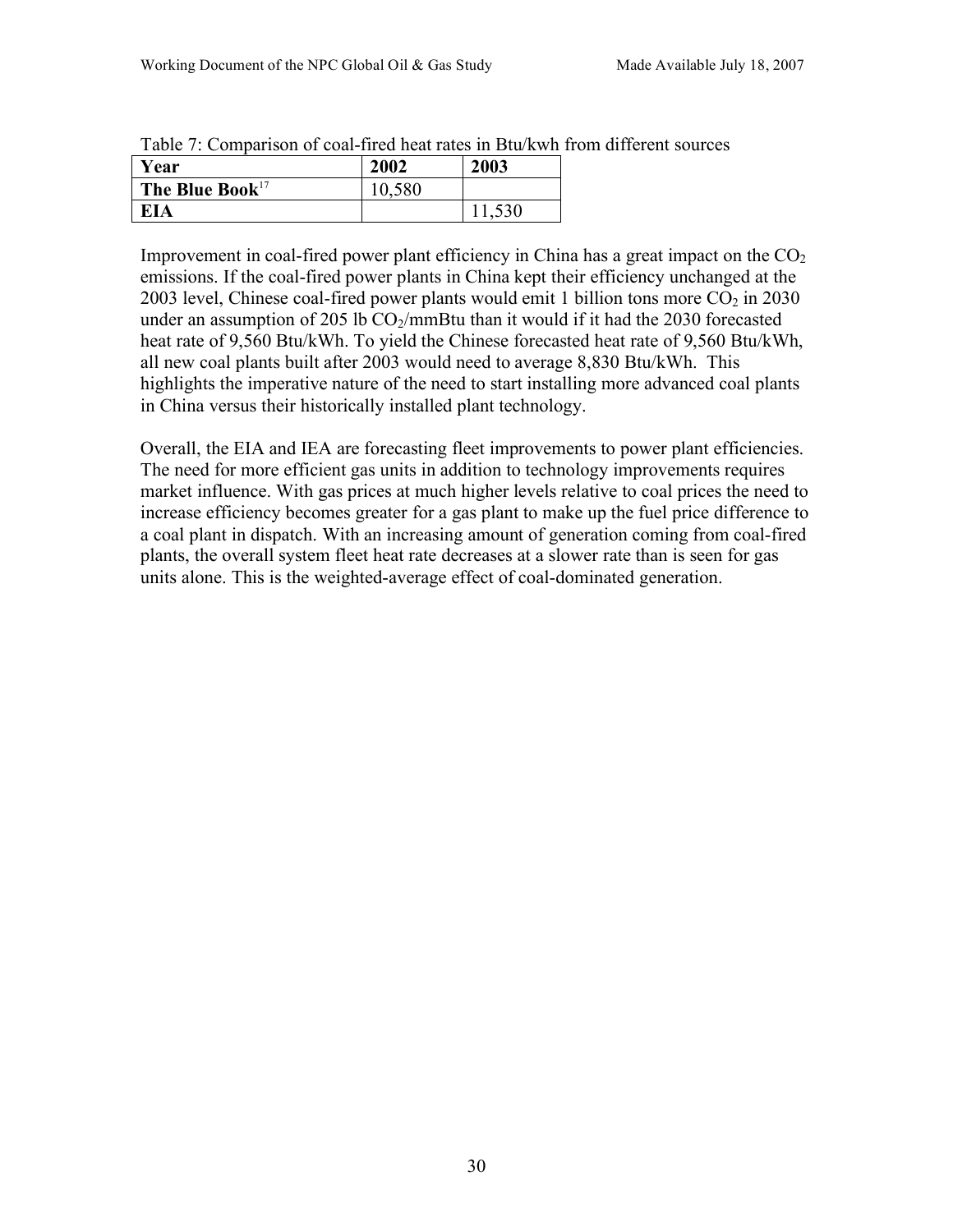| Year                  | 2002<br>2003 |     |  |  |
|-----------------------|--------------|-----|--|--|
| The Blue Book $^{17}$ | 580          |     |  |  |
| ΊA                    |              | 530 |  |  |

Table 7: Comparison of coal-fired heat rates in Btu/kwh from different sources

Improvement in coal-fired power plant efficiency in China has a great impact on the  $CO<sub>2</sub>$ emissions. If the coal-fired power plants in China kept their efficiency unchanged at the 2003 level, Chinese coal-fired power plants would emit 1 billion tons more  $CO<sub>2</sub>$  in 2030 under an assumption of 205 lb  $CO_2/mm$ Btu than it would if it had the 2030 forecasted heat rate of 9,560 Btu/kWh. To yield the Chinese forecasted heat rate of 9,560 Btu/kWh, all new coal plants built after 2003 would need to average 8,830 Btu/kWh. This highlights the imperative nature of the need to start installing more advanced coal plants in China versus their historically installed plant technology.

Overall, the EIA and IEA are forecasting fleet improvements to power plant efficiencies. The need for more efficient gas units in addition to technology improvements requires market influence. With gas prices at much higher levels relative to coal prices the need to increase efficiency becomes greater for a gas plant to make up the fuel price difference to a coal plant in dispatch. With an increasing amount of generation coming from coal-fired plants, the overall system fleet heat rate decreases at a slower rate than is seen for gas units alone. This is the weighted-average effect of coal-dominated generation.